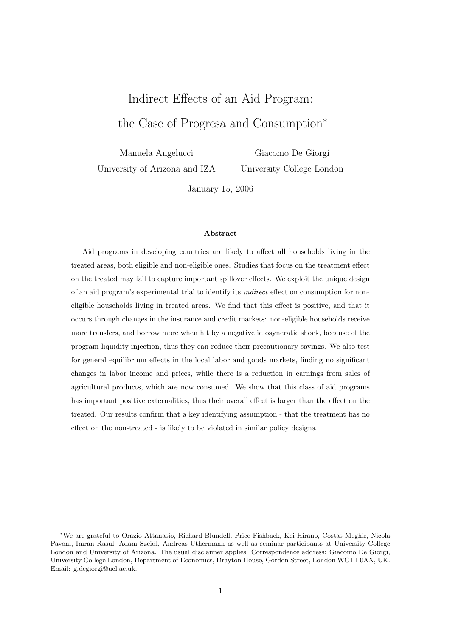# Indirect Effects of an Aid Program: the Case of Progresa and Consumption<sup>∗</sup>

Manuela Angelucci University of Arizona and IZA

Giacomo De Giorgi University College London

January 15, 2006

#### Abstract

Aid programs in developing countries are likely to affect all households living in the treated areas, both eligible and non-eligible ones. Studies that focus on the treatment effect on the treated may fail to capture important spillover effects. We exploit the unique design of an aid program's experimental trial to identify its indirect effect on consumption for noneligible households living in treated areas. We find that this effect is positive, and that it occurs through changes in the insurance and credit markets: non-eligible households receive more transfers, and borrow more when hit by a negative idiosyncratic shock, because of the program liquidity injection, thus they can reduce their precautionary savings. We also test for general equilibrium effects in the local labor and goods markets, finding no significant changes in labor income and prices, while there is a reduction in earnings from sales of agricultural products, which are now consumed. We show that this class of aid programs has important positive externalities, thus their overall effect is larger than the effect on the treated. Our results confirm that a key identifying assumption - that the treatment has no effect on the non-treated - is likely to be violated in similar policy designs.

<sup>∗</sup>We are grateful to Orazio Attanasio, Richard Blundell, Price Fishback, Kei Hirano, Costas Meghir, Nicola Pavoni, Imran Rasul, Adam Szeidl, Andreas Uthermann as well as seminar participants at University College London and University of Arizona. The usual disclaimer applies. Correspondence address: Giacomo De Giorgi, University College London, Department of Economics, Drayton House, Gordon Street, London WC1H 0AX, UK. Email: g.degiorgi@ucl.ac.uk.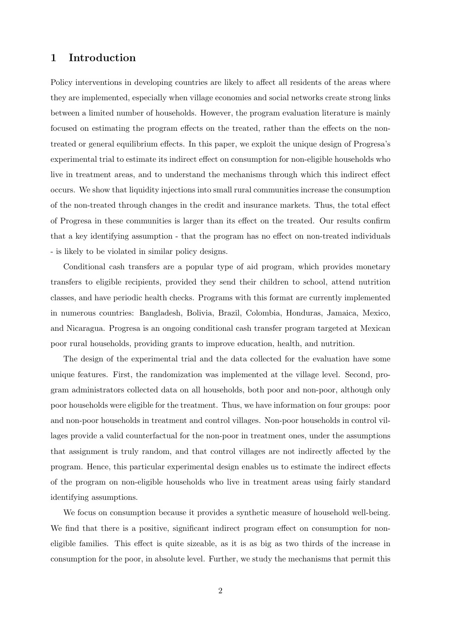# 1 Introduction

Policy interventions in developing countries are likely to affect all residents of the areas where they are implemented, especially when village economies and social networks create strong links between a limited number of households. However, the program evaluation literature is mainly focused on estimating the program effects on the treated, rather than the effects on the nontreated or general equilibrium effects. In this paper, we exploit the unique design of Progresa's experimental trial to estimate its indirect effect on consumption for non-eligible households who live in treatment areas, and to understand the mechanisms through which this indirect effect occurs. We show that liquidity injections into small rural communities increase the consumption of the non-treated through changes in the credit and insurance markets. Thus, the total effect of Progresa in these communities is larger than its effect on the treated. Our results confirm that a key identifying assumption - that the program has no effect on non-treated individuals - is likely to be violated in similar policy designs.

Conditional cash transfers are a popular type of aid program, which provides monetary transfers to eligible recipients, provided they send their children to school, attend nutrition classes, and have periodic health checks. Programs with this format are currently implemented in numerous countries: Bangladesh, Bolivia, Brazil, Colombia, Honduras, Jamaica, Mexico, and Nicaragua. Progresa is an ongoing conditional cash transfer program targeted at Mexican poor rural households, providing grants to improve education, health, and nutrition.

The design of the experimental trial and the data collected for the evaluation have some unique features. First, the randomization was implemented at the village level. Second, program administrators collected data on all households, both poor and non-poor, although only poor households were eligible for the treatment. Thus, we have information on four groups: poor and non-poor households in treatment and control villages. Non-poor households in control villages provide a valid counterfactual for the non-poor in treatment ones, under the assumptions that assignment is truly random, and that control villages are not indirectly affected by the program. Hence, this particular experimental design enables us to estimate the indirect effects of the program on non-eligible households who live in treatment areas using fairly standard identifying assumptions.

We focus on consumption because it provides a synthetic measure of household well-being. We find that there is a positive, significant indirect program effect on consumption for noneligible families. This effect is quite sizeable, as it is as big as two thirds of the increase in consumption for the poor, in absolute level. Further, we study the mechanisms that permit this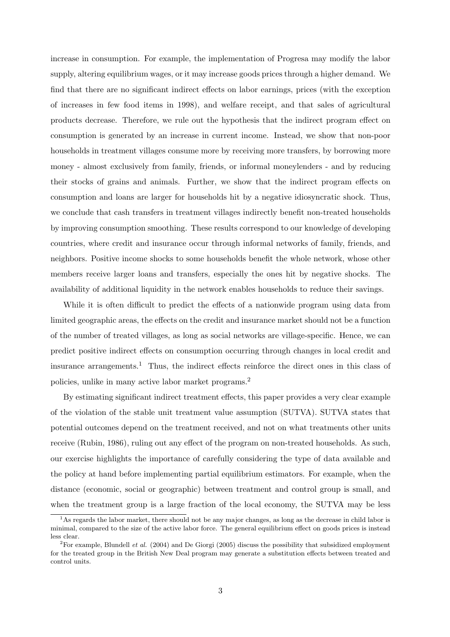increase in consumption. For example, the implementation of Progresa may modify the labor supply, altering equilibrium wages, or it may increase goods prices through a higher demand. We find that there are no significant indirect effects on labor earnings, prices (with the exception of increases in few food items in 1998), and welfare receipt, and that sales of agricultural products decrease. Therefore, we rule out the hypothesis that the indirect program effect on consumption is generated by an increase in current income. Instead, we show that non-poor households in treatment villages consume more by receiving more transfers, by borrowing more money - almost exclusively from family, friends, or informal moneylenders - and by reducing their stocks of grains and animals. Further, we show that the indirect program effects on consumption and loans are larger for households hit by a negative idiosyncratic shock. Thus, we conclude that cash transfers in treatment villages indirectly benefit non-treated households by improving consumption smoothing. These results correspond to our knowledge of developing countries, where credit and insurance occur through informal networks of family, friends, and neighbors. Positive income shocks to some households benefit the whole network, whose other members receive larger loans and transfers, especially the ones hit by negative shocks. The availability of additional liquidity in the network enables households to reduce their savings.

While it is often difficult to predict the effects of a nationwide program using data from limited geographic areas, the effects on the credit and insurance market should not be a function of the number of treated villages, as long as social networks are village-specific. Hence, we can predict positive indirect effects on consumption occurring through changes in local credit and insurance arrangements.<sup>1</sup> Thus, the indirect effects reinforce the direct ones in this class of policies, unlike in many active labor market programs.<sup>2</sup>

By estimating significant indirect treatment effects, this paper provides a very clear example of the violation of the stable unit treatment value assumption (SUTVA). SUTVA states that potential outcomes depend on the treatment received, and not on what treatments other units receive (Rubin, 1986), ruling out any effect of the program on non-treated households. As such, our exercise highlights the importance of carefully considering the type of data available and the policy at hand before implementing partial equilibrium estimators. For example, when the distance (economic, social or geographic) between treatment and control group is small, and when the treatment group is a large fraction of the local economy, the SUTVA may be less

<sup>&</sup>lt;sup>1</sup>As regards the labor market, there should not be any major changes, as long as the decrease in child labor is minimal, compared to the size of the active labor force. The general equilibrium effect on goods prices is instead less clear.

<sup>&</sup>lt;sup>2</sup>For example, Blundell *et al.* (2004) and De Giorgi (2005) discuss the possibility that subsidized employment for the treated group in the British New Deal program may generate a substitution effects between treated and control units.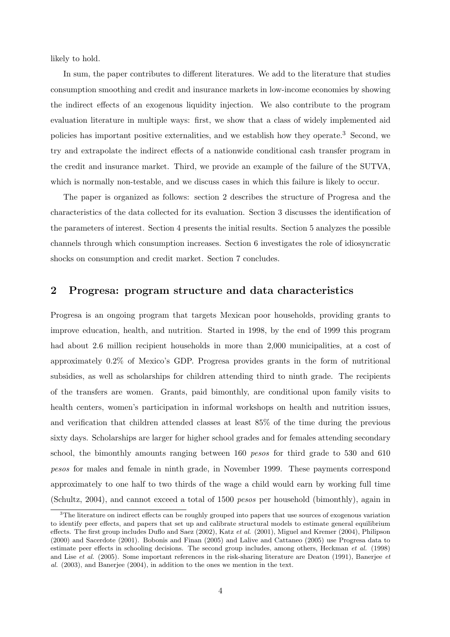likely to hold.

In sum, the paper contributes to different literatures. We add to the literature that studies consumption smoothing and credit and insurance markets in low-income economies by showing the indirect effects of an exogenous liquidity injection. We also contribute to the program evaluation literature in multiple ways: first, we show that a class of widely implemented aid policies has important positive externalities, and we establish how they operate.<sup>3</sup> Second, we try and extrapolate the indirect effects of a nationwide conditional cash transfer program in the credit and insurance market. Third, we provide an example of the failure of the SUTVA, which is normally non-testable, and we discuss cases in which this failure is likely to occur.

The paper is organized as follows: section 2 describes the structure of Progresa and the characteristics of the data collected for its evaluation. Section 3 discusses the identification of the parameters of interest. Section 4 presents the initial results. Section 5 analyzes the possible channels through which consumption increases. Section 6 investigates the role of idiosyncratic shocks on consumption and credit market. Section 7 concludes.

### 2 Progresa: program structure and data characteristics

Progresa is an ongoing program that targets Mexican poor households, providing grants to improve education, health, and nutrition. Started in 1998, by the end of 1999 this program had about 2.6 million recipient households in more than 2,000 municipalities, at a cost of approximately 0.2% of Mexico's GDP. Progresa provides grants in the form of nutritional subsidies, as well as scholarships for children attending third to ninth grade. The recipients of the transfers are women. Grants, paid bimonthly, are conditional upon family visits to health centers, women's participation in informal workshops on health and nutrition issues, and verification that children attended classes at least 85% of the time during the previous sixty days. Scholarships are larger for higher school grades and for females attending secondary school, the bimonthly amounts ranging between 160 pesos for third grade to 530 and 610 pesos for males and female in ninth grade, in November 1999. These payments correspond approximately to one half to two thirds of the wage a child would earn by working full time (Schultz, 2004), and cannot exceed a total of 1500 pesos per household (bimonthly), again in

<sup>&</sup>lt;sup>3</sup>The literature on indirect effects can be roughly grouped into papers that use sources of exogenous variation to identify peer effects, and papers that set up and calibrate structural models to estimate general equilibrium effects. The first group includes Duflo and Saez (2002), Katz et al. (2001), Miguel and Kremer (2004), Philipson (2000) and Sacerdote (2001). Bobonis and Finan (2005) and Lalive and Cattaneo (2005) use Progresa data to estimate peer effects in schooling decisions. The second group includes, among others, Heckman et al. (1998) and Lise et al. (2005). Some important references in the risk-sharing literature are Deaton (1991), Banerjee et al. (2003), and Banerjee (2004), in addition to the ones we mention in the text.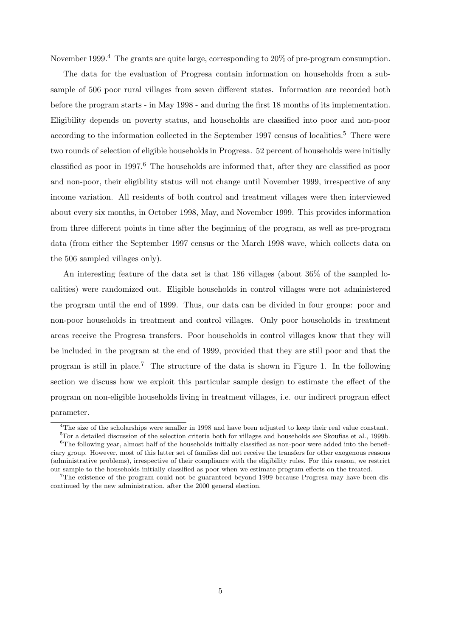November 1999.<sup>4</sup> The grants are quite large, corresponding to 20% of pre-program consumption.

The data for the evaluation of Progresa contain information on households from a subsample of 506 poor rural villages from seven different states. Information are recorded both before the program starts - in May 1998 - and during the first 18 months of its implementation. Eligibility depends on poverty status, and households are classified into poor and non-poor according to the information collected in the September 1997 census of localities.<sup>5</sup> There were two rounds of selection of eligible households in Progresa. 52 percent of households were initially classified as poor in 1997.<sup>6</sup> The households are informed that, after they are classified as poor and non-poor, their eligibility status will not change until November 1999, irrespective of any income variation. All residents of both control and treatment villages were then interviewed about every six months, in October 1998, May, and November 1999. This provides information from three different points in time after the beginning of the program, as well as pre-program data (from either the September 1997 census or the March 1998 wave, which collects data on the 506 sampled villages only).

An interesting feature of the data set is that 186 villages (about 36% of the sampled localities) were randomized out. Eligible households in control villages were not administered the program until the end of 1999. Thus, our data can be divided in four groups: poor and non-poor households in treatment and control villages. Only poor households in treatment areas receive the Progresa transfers. Poor households in control villages know that they will be included in the program at the end of 1999, provided that they are still poor and that the program is still in place.<sup>7</sup> The structure of the data is shown in Figure 1. In the following section we discuss how we exploit this particular sample design to estimate the effect of the program on non-eligible households living in treatment villages, i.e. our indirect program effect parameter.

<sup>4</sup>The size of the scholarships were smaller in 1998 and have been adjusted to keep their real value constant.  ${}^{5}$ For a detailed discussion of the selection criteria both for villages and households see Skoufias et al., 1999b.

<sup>&</sup>lt;sup>6</sup>The following year, almost half of the households initially classified as non-poor were added into the beneficiary group. However, most of this latter set of families did not receive the transfers for other exogenous reasons (administrative problems), irrespective of their compliance with the eligibility rules. For this reason, we restrict our sample to the households initially classified as poor when we estimate program effects on the treated.

<sup>7</sup>The existence of the program could not be guaranteed beyond 1999 because Progresa may have been discontinued by the new administration, after the 2000 general election.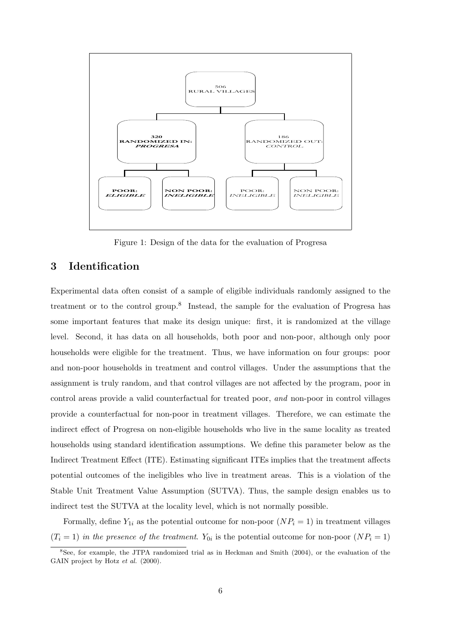

Figure 1: Design of the data for the evaluation of Progresa

# 3 Identification

Experimental data often consist of a sample of eligible individuals randomly assigned to the treatment or to the control group.<sup>8</sup> Instead, the sample for the evaluation of Progresa has some important features that make its design unique: first, it is randomized at the village level. Second, it has data on all households, both poor and non-poor, although only poor households were eligible for the treatment. Thus, we have information on four groups: poor and non-poor households in treatment and control villages. Under the assumptions that the assignment is truly random, and that control villages are not affected by the program, poor in control areas provide a valid counterfactual for treated poor, and non-poor in control villages provide a counterfactual for non-poor in treatment villages. Therefore, we can estimate the indirect effect of Progresa on non-eligible households who live in the same locality as treated households using standard identification assumptions. We define this parameter below as the Indirect Treatment Effect (ITE). Estimating significant ITEs implies that the treatment affects potential outcomes of the ineligibles who live in treatment areas. This is a violation of the Stable Unit Treatment Value Assumption (SUTVA). Thus, the sample design enables us to indirect test the SUTVA at the locality level, which is not normally possible.

Formally, define  $Y_{1i}$  as the potential outcome for non-poor  $(NP_i = 1)$  in treatment villages  $(T_i = 1)$  in the presence of the treatment. Y<sub>0i</sub> is the potential outcome for non-poor  $(NP_i = 1)$ 

<sup>8</sup>See, for example, the JTPA randomized trial as in Heckman and Smith (2004), or the evaluation of the GAIN project by Hotz et al. (2000).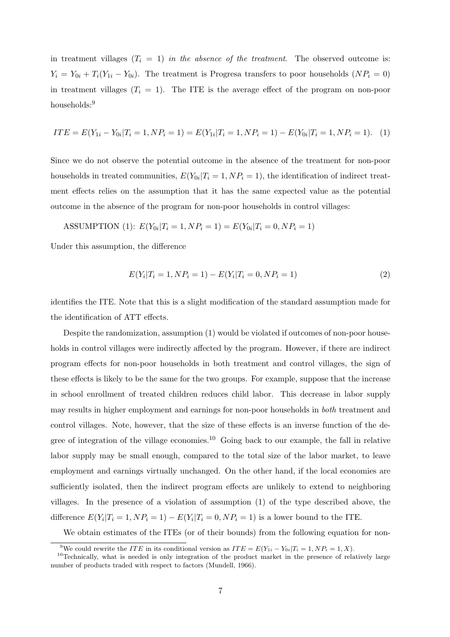in treatment villages  $(T_i = 1)$  in the absence of the treatment. The observed outcome is:  $Y_i = Y_{0i} + T_i(Y_{1i} - Y_{0i})$ . The treatment is Progresa transfers to poor households  $(NP_i = 0)$ in treatment villages  $(T_i = 1)$ . The ITE is the average effect of the program on non-poor households:<sup>9</sup>

$$
ITE = E(Y_{1i} - Y_{0i} | T_i = 1, NP_i = 1) = E(Y_{1i} | T_i = 1, NP_i = 1) - E(Y_{0i} | T_i = 1, NP_i = 1).
$$
 (1)

Since we do not observe the potential outcome in the absence of the treatment for non-poor households in treated communities,  $E(Y_{0i}|T_i=1, NP_i=1)$ , the identification of indirect treatment effects relies on the assumption that it has the same expected value as the potential outcome in the absence of the program for non-poor households in control villages:

ASSUMPTION (1): 
$$
E(Y_{0i}|T_i = 1, NP_i = 1) = E(Y_{0i}|T_i = 0, NP_i = 1)
$$

Under this assumption, the difference

$$
E(Y_i|T_i = 1, NP_i = 1) - E(Y_i|T_i = 0, NP_i = 1)
$$
\n(2)

identifies the ITE. Note that this is a slight modification of the standard assumption made for the identification of ATT effects.

Despite the randomization, assumption (1) would be violated if outcomes of non-poor households in control villages were indirectly affected by the program. However, if there are indirect program effects for non-poor households in both treatment and control villages, the sign of these effects is likely to be the same for the two groups. For example, suppose that the increase in school enrollment of treated children reduces child labor. This decrease in labor supply may results in higher employment and earnings for non-poor households in both treatment and control villages. Note, however, that the size of these effects is an inverse function of the degree of integration of the village economies.<sup>10</sup> Going back to our example, the fall in relative labor supply may be small enough, compared to the total size of the labor market, to leave employment and earnings virtually unchanged. On the other hand, if the local economies are sufficiently isolated, then the indirect program effects are unlikely to extend to neighboring villages. In the presence of a violation of assumption (1) of the type described above, the difference  $E(Y_i | T_i = 1, NP_i = 1) - E(Y_i | T_i = 0, NP_i = 1)$  is a lower bound to the ITE.

We obtain estimates of the ITEs (or of their bounds) from the following equation for non-

<sup>&</sup>lt;sup>9</sup>We could rewrite the *ITE* in its conditional version as  $ITE = E(Y_{1i} - Y_{0i} | T_i = 1, NP_i = 1, X)$ .

 $10$ Technically, what is needed is only integration of the product market in the presence of relatively large number of products traded with respect to factors (Mundell, 1966).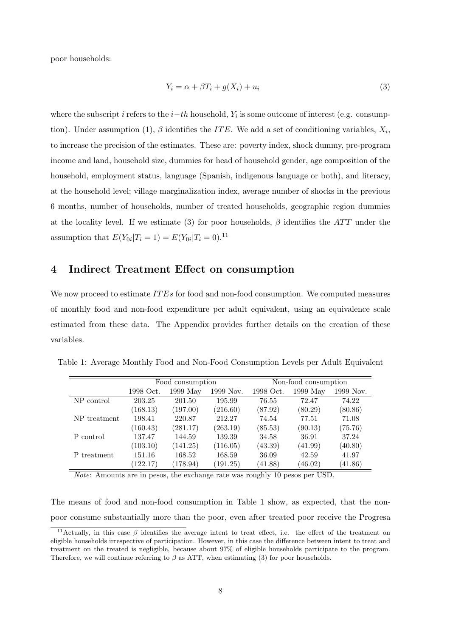poor households:

$$
Y_i = \alpha + \beta T_i + g(X_i) + u_i \tag{3}
$$

where the subscript i refers to the  $i-th$  household,  $Y_i$  is some outcome of interest (e.g. consumption). Under assumption (1),  $\beta$  identifies the ITE. We add a set of conditioning variables,  $X_i$ , to increase the precision of the estimates. These are: poverty index, shock dummy, pre-program income and land, household size, dummies for head of household gender, age composition of the household, employment status, language (Spanish, indigenous language or both), and literacy, at the household level; village marginalization index, average number of shocks in the previous 6 months, number of households, number of treated households, geographic region dummies at the locality level. If we estimate (3) for poor households,  $\beta$  identifies the ATT under the assumption that  $E(Y_{0i}|T_i = 1) = E(Y_{0i}|T_i = 0).$ <sup>11</sup>

# 4 Indirect Treatment Effect on consumption

We now proceed to estimate  $ITEs$  for food and non-food consumption. We computed measures of monthly food and non-food expenditure per adult equivalent, using an equivalence scale estimated from these data. The Appendix provides further details on the creation of these variables.

|  |  |  |  |  |  |  | Table 1: Average Monthly Food and Non-Food Consumption Levels per Adult Equivalent |
|--|--|--|--|--|--|--|------------------------------------------------------------------------------------|
|--|--|--|--|--|--|--|------------------------------------------------------------------------------------|

|              |           | Food consumption |           | Non-food consumption |          |           |  |
|--------------|-----------|------------------|-----------|----------------------|----------|-----------|--|
|              | 1998 Oct. | 1999 May         | 1999 Nov. | 1998 Oct.            | 1999 May | 1999 Nov. |  |
| NP control   | 203.25    | 201.50           | 195.99    | 76.55                | 72.47    | 74.22     |  |
|              | (168.13)  | (197.00)         | (216.60)  | (87.92)              | (80.29)  | (80.86)   |  |
| NP treatment | 198.41    | 220.87           | 212.27    | 74.54                | 77.51    | 71.08     |  |
|              | (160.43)  | (281.17)         | (263.19)  | (85.53)              | (90.13)  | (75.76)   |  |
| P control    | 137.47    | 144.59           | 139.39    | 34.58                | 36.91    | 37.24     |  |
|              | (103.10)  | (141.25)         | (116.05)  | (43.39)              | (41.99)  | (40.80)   |  |
| P treatment  | 151.16    | 168.52           | 168.59    | 36.09                | 42.59    | 41.97     |  |
|              | (122.17)  | (178.94)         | (191.25)  | (41.88)              | (46.02)  | (41.86)   |  |

Note: Amounts are in pesos, the exchange rate was roughly 10 pesos per USD.

The means of food and non-food consumption in Table 1 show, as expected, that the nonpoor consume substantially more than the poor, even after treated poor receive the Progresa

<sup>&</sup>lt;sup>11</sup>Actually, in this case  $\beta$  identifies the average intent to treat effect, i.e. the effect of the treatment on eligible households irrespective of participation. However, in this case the difference between intent to treat and treatment on the treated is negligible, because about 97% of eligible households participate to the program. Therefore, we will continue referring to  $\beta$  as ATT, when estimating (3) for poor households.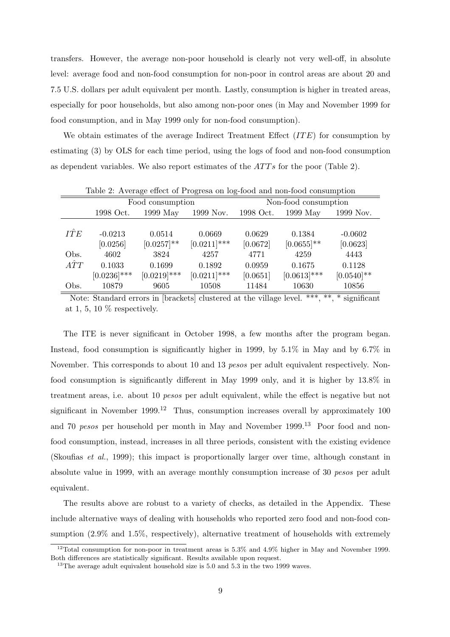transfers. However, the average non-poor household is clearly not very well-off, in absolute level: average food and non-food consumption for non-poor in control areas are about 20 and 7.5 U.S. dollars per adult equivalent per month. Lastly, consumption is higher in treated areas, especially for poor households, but also among non-poor ones (in May and November 1999 for food consumption, and in May 1999 only for non-food consumption).

We obtain estimates of the average Indirect Treatment Effect  $(ITE)$  for consumption by estimating (3) by OLS for each time period, using the logs of food and non-food consumption as dependent variables. We also report estimates of the  $ATTs$  for the poor (Table 2).

|             | Table 2: Average effect of Progresa on log-lood and non-lood consumption |                  |                |                      |                |               |  |  |  |
|-------------|--------------------------------------------------------------------------|------------------|----------------|----------------------|----------------|---------------|--|--|--|
|             |                                                                          | Food consumption |                | Non-food consumption |                |               |  |  |  |
|             | 1998 Oct.                                                                | 1999 May         | 1999 Nov.      | 1998 Oct.            | $1999$ May     | 1999 Nov.     |  |  |  |
|             |                                                                          |                  |                |                      |                |               |  |  |  |
| $I\hat{T}E$ | $-0.0213$                                                                | 0.0514           | 0.0669         | 0.0629               | 0.1384         | $-0.0602$     |  |  |  |
|             | [0.0256]                                                                 | $[0.0257]$ **    | $[0.0211]$ *** | [0.0672]             | $[0.0655]$ **  | [0.0623]      |  |  |  |
| Obs.        | 4602                                                                     | 3824             | 4257           | 4771                 | 4259           | 4443          |  |  |  |
| $\hat{ATT}$ | 0.1033                                                                   | 0.1699           | 0.1892         | 0.0959               | 0.1675         | 0.1128        |  |  |  |
|             | $[0.0236]$ ***                                                           | $[0.0219]$ ***   | $[0.0211]$ *** | [0.0651]             | $[0.0613]$ *** | $[0.0540]$ ** |  |  |  |
| Obs.        | 10879                                                                    | 9605             | 10508          | 11484                | 10630          | 10856         |  |  |  |

Table 2: Average effect of Progresa on log-food and non-food consumption

Note: Standard errors in [brackets] clustered at the village level. \*\*\*, \*\*, \* significant at 1, 5, 10  $\%$  respectively.

The ITE is never significant in October 1998, a few months after the program began. Instead, food consumption is significantly higher in 1999, by 5.1% in May and by 6.7% in November. This corresponds to about 10 and 13 *pesos* per adult equivalent respectively. Nonfood consumption is significantly different in May 1999 only, and it is higher by 13.8% in treatment areas, i.e. about 10 pesos per adult equivalent, while the effect is negative but not significant in November 1999.<sup>12</sup> Thus, consumption increases overall by approximately 100 and 70 pesos per household per month in May and November  $1999<sup>13</sup>$  Poor food and nonfood consumption, instead, increases in all three periods, consistent with the existing evidence (Skoufias et al., 1999); this impact is proportionally larger over time, although constant in absolute value in 1999, with an average monthly consumption increase of 30 pesos per adult equivalent.

The results above are robust to a variety of checks, as detailed in the Appendix. These include alternative ways of dealing with households who reported zero food and non-food consumption (2.9% and 1.5%, respectively), alternative treatment of households with extremely

 $12$ Total consumption for non-poor in treatment areas is  $5.3\%$  and  $4.9\%$  higher in May and November 1999. Both differences are statistically significant. Results available upon request.

 $13$ The average adult equivalent household size is 5.0 and 5.3 in the two 1999 waves.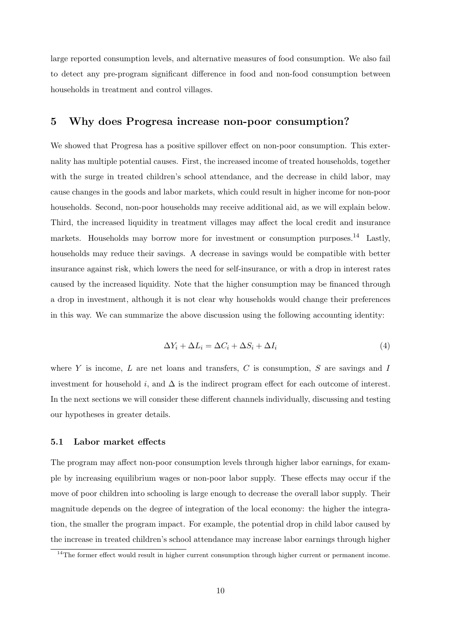large reported consumption levels, and alternative measures of food consumption. We also fail to detect any pre-program significant difference in food and non-food consumption between households in treatment and control villages.

# 5 Why does Progresa increase non-poor consumption?

We showed that Progresa has a positive spillover effect on non-poor consumption. This externality has multiple potential causes. First, the increased income of treated households, together with the surge in treated children's school attendance, and the decrease in child labor, may cause changes in the goods and labor markets, which could result in higher income for non-poor households. Second, non-poor households may receive additional aid, as we will explain below. Third, the increased liquidity in treatment villages may affect the local credit and insurance markets. Households may borrow more for investment or consumption purposes.<sup>14</sup> Lastly, households may reduce their savings. A decrease in savings would be compatible with better insurance against risk, which lowers the need for self-insurance, or with a drop in interest rates caused by the increased liquidity. Note that the higher consumption may be financed through a drop in investment, although it is not clear why households would change their preferences in this way. We can summarize the above discussion using the following accounting identity:

$$
\Delta Y_i + \Delta L_i = \Delta C_i + \Delta S_i + \Delta I_i \tag{4}
$$

where  $Y$  is income,  $L$  are net loans and transfers,  $C$  is consumption,  $S$  are savings and  $I$ investment for household i, and  $\Delta$  is the indirect program effect for each outcome of interest. In the next sections we will consider these different channels individually, discussing and testing our hypotheses in greater details.

#### 5.1 Labor market effects

The program may affect non-poor consumption levels through higher labor earnings, for example by increasing equilibrium wages or non-poor labor supply. These effects may occur if the move of poor children into schooling is large enough to decrease the overall labor supply. Their magnitude depends on the degree of integration of the local economy: the higher the integration, the smaller the program impact. For example, the potential drop in child labor caused by the increase in treated children's school attendance may increase labor earnings through higher

<sup>&</sup>lt;sup>14</sup>The former effect would result in higher current consumption through higher current or permanent income.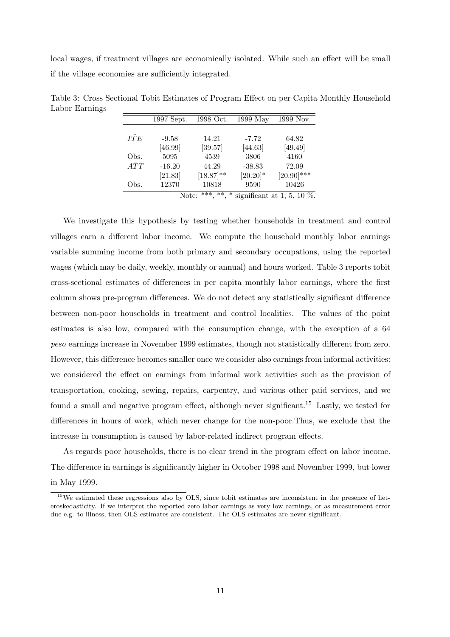local wages, if treatment villages are economically isolated. While such an effect will be small if the village economies are sufficiently integrated.

|             | 1997 Sept. | 1998 Oct.      | 1999 May   | 1999 Nov.                      |
|-------------|------------|----------------|------------|--------------------------------|
|             |            |                |            |                                |
| IÎE         | $-9.58$    | 14.21          | $-7.72$    | 64.82                          |
|             | [46.99]    | [39.57]        | [44.63]    | [49.49]                        |
| Obs.        | 5095       | 4539           | 3806       | 4160                           |
| $\hat{ATT}$ | $-16.20$   | 44.29          | $-38.83$   | 72.09                          |
|             | [21.83]    | $[18.87]^{**}$ | $[20.20]*$ | $[20.90]$ ***                  |
| Obs.        | 12370      | 10818          | 9590       | 10426                          |
|             | Note:      | ***<br>$***$   |            | significant at 1, 5, 10 $\%$ . |

Table 3: Cross Sectional Tobit Estimates of Program Effect on per Capita Monthly Household Labor Earnings

We investigate this hypothesis by testing whether households in treatment and control villages earn a different labor income. We compute the household monthly labor earnings variable summing income from both primary and secondary occupations, using the reported wages (which may be daily, weekly, monthly or annual) and hours worked. Table 3 reports tobit cross-sectional estimates of differences in per capita monthly labor earnings, where the first column shows pre-program differences. We do not detect any statistically significant difference between non-poor households in treatment and control localities. The values of the point estimates is also low, compared with the consumption change, with the exception of a 64 peso earnings increase in November 1999 estimates, though not statistically different from zero. However, this difference becomes smaller once we consider also earnings from informal activities: we considered the effect on earnings from informal work activities such as the provision of transportation, cooking, sewing, repairs, carpentry, and various other paid services, and we found a small and negative program effect, although never significant.<sup>15</sup> Lastly, we tested for differences in hours of work, which never change for the non-poor.Thus, we exclude that the increase in consumption is caused by labor-related indirect program effects.

As regards poor households, there is no clear trend in the program effect on labor income. The difference in earnings is significantly higher in October 1998 and November 1999, but lower in May 1999.

<sup>&</sup>lt;sup>15</sup>We estimated these regressions also by OLS, since tobit estimates are inconsistent in the presence of heteroskedasticity. If we interpret the reported zero labor earnings as very low earnings, or as measurement error due e.g. to illness, then OLS estimates are consistent. The OLS estimates are never significant.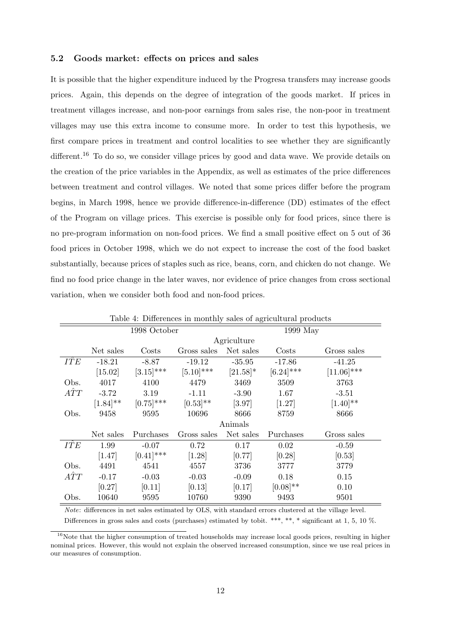#### 5.2 Goods market: effects on prices and sales

It is possible that the higher expenditure induced by the Progresa transfers may increase goods prices. Again, this depends on the degree of integration of the goods market. If prices in treatment villages increase, and non-poor earnings from sales rise, the non-poor in treatment villages may use this extra income to consume more. In order to test this hypothesis, we first compare prices in treatment and control localities to see whether they are significantly different.<sup>16</sup> To do so, we consider village prices by good and data wave. We provide details on the creation of the price variables in the Appendix, as well as estimates of the price differences between treatment and control villages. We noted that some prices differ before the program begins, in March 1998, hence we provide difference-in-difference (DD) estimates of the effect of the Program on village prices. This exercise is possible only for food prices, since there is no pre-program information on non-food prices. We find a small positive effect on 5 out of 36 food prices in October 1998, which we do not expect to increase the cost of the food basket substantially, because prices of staples such as rice, beans, corn, and chicken do not change. We find no food price change in the later waves, nor evidence of price changes from cross sectional variation, when we consider both food and non-food prices.

|             | Table 4: Differences in monthly sales of agricultural products |              |              |             |              |                 |  |  |
|-------------|----------------------------------------------------------------|--------------|--------------|-------------|--------------|-----------------|--|--|
|             |                                                                | 1998 October |              |             | 1999 May     |                 |  |  |
|             |                                                                |              |              | Agriculture |              |                 |  |  |
|             | Net sales                                                      | Costs        | Gross sales  | Net sales   | Costs        | Gross sales     |  |  |
| <b>ITE</b>  | $-18.21$                                                       | $-8.87$      | $-19.12$     | $-35.95$    | $-17.86$     | $-41.25$        |  |  |
|             | [15.02]                                                        | $[3.15]$ *** | $[5.10]$ *** | $[21.58]$ * | $[6.24]$ *** | $[11.06]^{***}$ |  |  |
| Obs.        | 4017                                                           | 4100         | 4479         | 3469        | 3509         | 3763            |  |  |
| $\hat{ATT}$ | $-3.72$                                                        | 3.19         | $-1.11$      | $-3.90$     | 1.67         | $-3.51$         |  |  |
|             | $[1.84]^{**}$                                                  | $[0.75]$ *** | $[0.53]$ **  | [3.97]      | [1.27]       | $[1.40]^{**}$   |  |  |
| Obs.        | 9458                                                           | 9595         | 10696        | 8666        | 8759         | 8666            |  |  |
|             |                                                                |              |              | Animals     |              |                 |  |  |
|             | Net sales                                                      | Purchases    | Gross sales  | Net sales   | Purchases    | Gross sales     |  |  |
| <b>ITE</b>  | 1.99                                                           | $-0.07$      | 0.72         | 0.17        | 0.02         | $-0.59$         |  |  |
|             | $[1.47]$                                                       | $[0.41]$ *** | $[1.28]$     | [0.77]      | [0.28]       | [0.53]          |  |  |
| Obs.        | 4491                                                           | 4541         | 4557         | 3736        | 3777         | 3779            |  |  |
| $\hat{ATT}$ | $-0.17$                                                        | $-0.03$      | $-0.03$      | $-0.09$     | 0.18         | 0.15            |  |  |
|             | [0.27]                                                         | [0.11]       | [0.13]       | [0.17]      | $[0.08]$ **  | 0.10            |  |  |
| Obs.        | 10640                                                          | 9595         | 10760        | 9390        | 9493         | 9501            |  |  |

Table 4: Differences in monthly sales of agricultural products

Note: differences in net sales estimated by OLS, with standard errors clustered at the village level.

Differences in gross sales and costs (purchases) estimated by tobit. \*\*\*, \*\*, \* significant at 1, 5, 10 %.

 $16$ Note that the higher consumption of treated households may increase local goods prices, resulting in higher nominal prices. However, this would not explain the observed increased consumption, since we use real prices in our measures of consumption.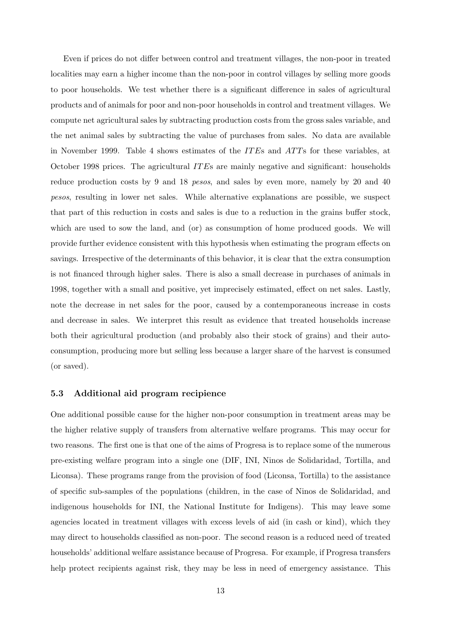Even if prices do not differ between control and treatment villages, the non-poor in treated localities may earn a higher income than the non-poor in control villages by selling more goods to poor households. We test whether there is a significant difference in sales of agricultural products and of animals for poor and non-poor households in control and treatment villages. We compute net agricultural sales by subtracting production costs from the gross sales variable, and the net animal sales by subtracting the value of purchases from sales. No data are available in November 1999. Table 4 shows estimates of the *ITE*s and *ATT*s for these variables, at October 1998 prices. The agricultural IT Es are mainly negative and significant: households reduce production costs by 9 and 18 *pesos*, and sales by even more, namely by 20 and 40 pesos, resulting in lower net sales. While alternative explanations are possible, we suspect that part of this reduction in costs and sales is due to a reduction in the grains buffer stock, which are used to sow the land, and (or) as consumption of home produced goods. We will provide further evidence consistent with this hypothesis when estimating the program effects on savings. Irrespective of the determinants of this behavior, it is clear that the extra consumption is not financed through higher sales. There is also a small decrease in purchases of animals in 1998, together with a small and positive, yet imprecisely estimated, effect on net sales. Lastly, note the decrease in net sales for the poor, caused by a contemporaneous increase in costs and decrease in sales. We interpret this result as evidence that treated households increase both their agricultural production (and probably also their stock of grains) and their autoconsumption, producing more but selling less because a larger share of the harvest is consumed (or saved).

#### 5.3 Additional aid program recipience

One additional possible cause for the higher non-poor consumption in treatment areas may be the higher relative supply of transfers from alternative welfare programs. This may occur for two reasons. The first one is that one of the aims of Progresa is to replace some of the numerous pre-existing welfare program into a single one (DIF, INI, Ninos de Solidaridad, Tortilla, and Liconsa). These programs range from the provision of food (Liconsa, Tortilla) to the assistance of specific sub-samples of the populations (children, in the case of Ninos de Solidaridad, and indigenous households for INI, the National Institute for Indigens). This may leave some agencies located in treatment villages with excess levels of aid (in cash or kind), which they may direct to households classified as non-poor. The second reason is a reduced need of treated households' additional welfare assistance because of Progresa. For example, if Progresa transfers help protect recipients against risk, they may be less in need of emergency assistance. This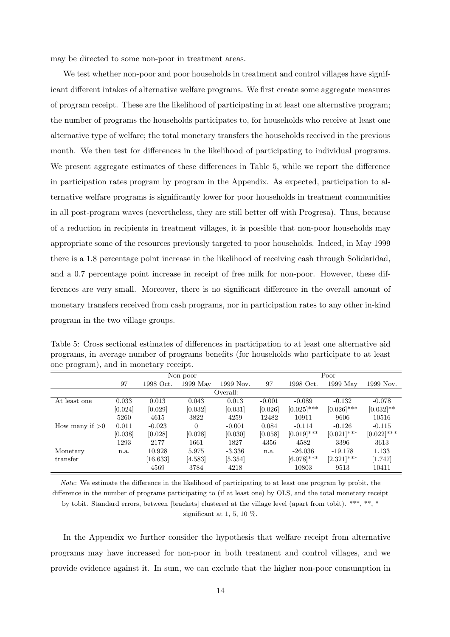may be directed to some non-poor in treatment areas.

We test whether non-poor and poor households in treatment and control villages have significant different intakes of alternative welfare programs. We first create some aggregate measures of program receipt. These are the likelihood of participating in at least one alternative program; the number of programs the households participates to, for households who receive at least one alternative type of welfare; the total monetary transfers the households received in the previous month. We then test for differences in the likelihood of participating to individual programs. We present aggregate estimates of these differences in Table 5, while we report the difference in participation rates program by program in the Appendix. As expected, participation to alternative welfare programs is significantly lower for poor households in treatment communities in all post-program waves (nevertheless, they are still better off with Progresa). Thus, because of a reduction in recipients in treatment villages, it is possible that non-poor households may appropriate some of the resources previously targeted to poor households. Indeed, in May 1999 there is a 1.8 percentage point increase in the likelihood of receiving cash through Solidaridad, and a 0.7 percentage point increase in receipt of free milk for non-poor. However, these differences are very small. Moreover, there is no significant difference in the overall amount of monetary transfers received from cash programs, nor in participation rates to any other in-kind program in the two village groups.

| Table 5: Cross sectional estimates of differences in participation to at least one alternative aid |
|----------------------------------------------------------------------------------------------------|
| programs, in average number of programs benefits (for households who participate to at least       |
| one program), and in monetary receipt.                                                             |

|                  |         |           | Non-poor   |           | Poor     |               |               |               |  |
|------------------|---------|-----------|------------|-----------|----------|---------------|---------------|---------------|--|
|                  | 97      | 1998 Oct. | $1999$ May | 1999 Nov. | 97       | 1998 Oct.     | $1999$ May    | 1999 Nov.     |  |
|                  |         |           |            | Overall:  |          |               |               |               |  |
| At least one     | 0.033   | 0.013     | 0.043      | 0.013     | $-0.001$ | $-0.089$      | $-0.132$      | $-0.078$      |  |
|                  | [0.024] | [0.029]   | [0.032]    | [0.031]   | [0.026]  | $[0.025]$ *** | $[0.026]$ *** | $[0.032]$ **  |  |
|                  | 5260    | 4615      | 3822       | 4259      | 12482    | 10911         | 9606          | 10516         |  |
| How many if $>0$ | 0.011   | $-0.023$  | $\Omega$   | $-0.001$  | 0.084    | $-0.114$      | $-0.126$      | $-0.115$      |  |
|                  | [0.038] | [0.028]   | [0.028]    | [0.030]   | [0.058]  | $[0.019]$ *** | $[0.021]$ *** | $[0.022]$ *** |  |
|                  | 1293    | 2177      | 1661       | 1827      | 4356     | 4582          | 3396          | 3613          |  |
| Monetary         | n.a.    | 10.928    | 5.975      | $-3.336$  | n.a.     | $-26.036$     | $-19.178$     | 1.133         |  |
| transfer         |         | 16.633    | [4.583]    | [5.354]   |          | $[6.078]$ *** | $[2.321]$ *** | $[1.747]$     |  |
|                  |         | 4569      | 3784       | 4218      |          | 10803         | 9513          | 10411         |  |

Note: We estimate the difference in the likelihood of participating to at least one program by probit, the difference in the number of programs participating to (if at least one) by OLS, and the total monetary receipt by tobit. Standard errors, between [brackets] clustered at the village level (apart from tobit). \*\*\*, \*\*, \* significant at 1, 5, 10  $\%$ .

In the Appendix we further consider the hypothesis that welfare receipt from alternative programs may have increased for non-poor in both treatment and control villages, and we provide evidence against it. In sum, we can exclude that the higher non-poor consumption in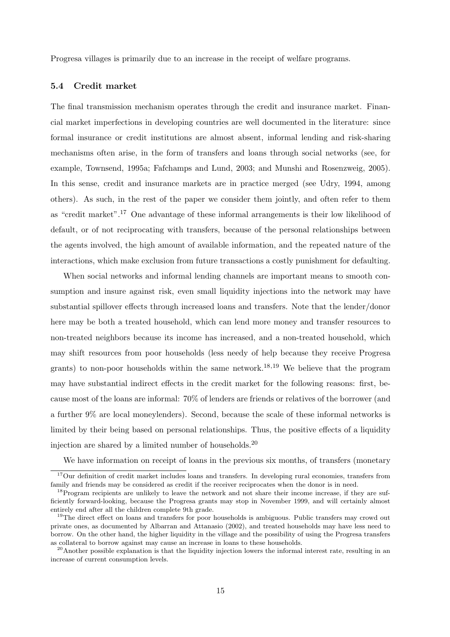Progresa villages is primarily due to an increase in the receipt of welfare programs.

#### 5.4 Credit market

The final transmission mechanism operates through the credit and insurance market. Financial market imperfections in developing countries are well documented in the literature: since formal insurance or credit institutions are almost absent, informal lending and risk-sharing mechanisms often arise, in the form of transfers and loans through social networks (see, for example, Townsend, 1995a; Fafchamps and Lund, 2003; and Munshi and Rosenzweig, 2005). In this sense, credit and insurance markets are in practice merged (see Udry, 1994, among others). As such, in the rest of the paper we consider them jointly, and often refer to them as "credit market".<sup>17</sup> One advantage of these informal arrangements is their low likelihood of default, or of not reciprocating with transfers, because of the personal relationships between the agents involved, the high amount of available information, and the repeated nature of the interactions, which make exclusion from future transactions a costly punishment for defaulting.

When social networks and informal lending channels are important means to smooth consumption and insure against risk, even small liquidity injections into the network may have substantial spillover effects through increased loans and transfers. Note that the lender/donor here may be both a treated household, which can lend more money and transfer resources to non-treated neighbors because its income has increased, and a non-treated household, which may shift resources from poor households (less needy of help because they receive Progresa grants) to non-poor households within the same network.<sup>18,19</sup> We believe that the program may have substantial indirect effects in the credit market for the following reasons: first, because most of the loans are informal: 70% of lenders are friends or relatives of the borrower (and a further 9% are local moneylenders). Second, because the scale of these informal networks is limited by their being based on personal relationships. Thus, the positive effects of a liquidity injection are shared by a limited number of households.<sup>20</sup>

We have information on receipt of loans in the previous six months, of transfers (monetary

<sup>&</sup>lt;sup>17</sup>Our definition of credit market includes loans and transfers. In developing rural economies, transfers from family and friends may be considered as credit if the receiver reciprocates when the donor is in need.

<sup>&</sup>lt;sup>18</sup>Program recipients are unlikely to leave the network and not share their income increase, if they are sufficiently forward-looking, because the Progresa grants may stop in November 1999, and will certainly almost entirely end after all the children complete 9th grade.

<sup>&</sup>lt;sup>19</sup>The direct effect on loans and transfers for poor households is ambiguous. Public transfers may crowd out private ones, as documented by Albarran and Attanasio (2002), and treated households may have less need to borrow. On the other hand, the higher liquidity in the village and the possibility of using the Progresa transfers as collateral to borrow against may cause an increase in loans to these households.

<sup>&</sup>lt;sup>20</sup>Another possible explanation is that the liquidity injection lowers the informal interest rate, resulting in an increase of current consumption levels.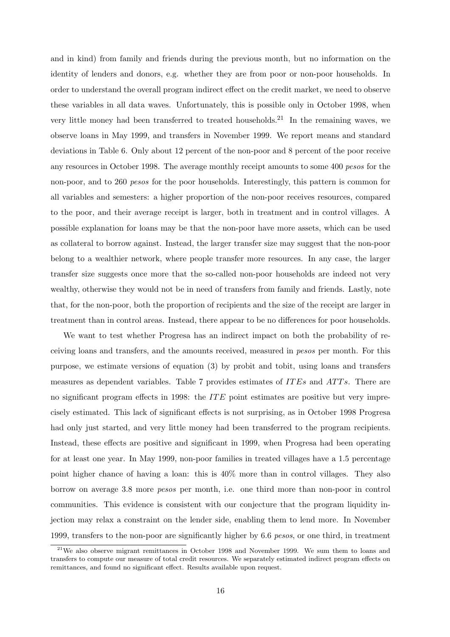and in kind) from family and friends during the previous month, but no information on the identity of lenders and donors, e.g. whether they are from poor or non-poor households. In order to understand the overall program indirect effect on the credit market, we need to observe these variables in all data waves. Unfortunately, this is possible only in October 1998, when very little money had been transferred to treated households.<sup>21</sup> In the remaining waves, we observe loans in May 1999, and transfers in November 1999. We report means and standard deviations in Table 6. Only about 12 percent of the non-poor and 8 percent of the poor receive any resources in October 1998. The average monthly receipt amounts to some 400 pesos for the non-poor, and to 260 *pesos* for the poor households. Interestingly, this pattern is common for all variables and semesters: a higher proportion of the non-poor receives resources, compared to the poor, and their average receipt is larger, both in treatment and in control villages. A possible explanation for loans may be that the non-poor have more assets, which can be used as collateral to borrow against. Instead, the larger transfer size may suggest that the non-poor belong to a wealthier network, where people transfer more resources. In any case, the larger transfer size suggests once more that the so-called non-poor households are indeed not very wealthy, otherwise they would not be in need of transfers from family and friends. Lastly, note that, for the non-poor, both the proportion of recipients and the size of the receipt are larger in treatment than in control areas. Instead, there appear to be no differences for poor households.

We want to test whether Progresa has an indirect impact on both the probability of receiving loans and transfers, and the amounts received, measured in pesos per month. For this purpose, we estimate versions of equation (3) by probit and tobit, using loans and transfers measures as dependent variables. Table 7 provides estimates of  $ITEs$  and  $ATTs$ . There are no significant program effects in 1998: the ITE point estimates are positive but very imprecisely estimated. This lack of significant effects is not surprising, as in October 1998 Progresa had only just started, and very little money had been transferred to the program recipients. Instead, these effects are positive and significant in 1999, when Progresa had been operating for at least one year. In May 1999, non-poor families in treated villages have a 1.5 percentage point higher chance of having a loan: this is 40% more than in control villages. They also borrow on average 3.8 more pesos per month, i.e. one third more than non-poor in control communities. This evidence is consistent with our conjecture that the program liquidity injection may relax a constraint on the lender side, enabling them to lend more. In November 1999, transfers to the non-poor are significantly higher by 6.6 pesos, or one third, in treatment

<sup>&</sup>lt;sup>21</sup>We also observe migrant remittances in October 1998 and November 1999. We sum them to loans and transfers to compute our measure of total credit resources. We separately estimated indirect program effects on remittances, and found no significant effect. Results available upon request.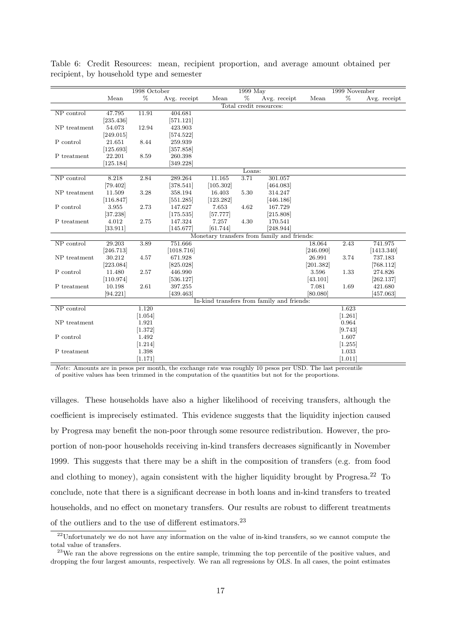|              |           | 1998 October |              |           | 1999 May |                                             |           | 1999 November |              |
|--------------|-----------|--------------|--------------|-----------|----------|---------------------------------------------|-----------|---------------|--------------|
|              | Mean      | %            | Avg. receipt | Mean      | %        | Avg. receipt                                | Mean      | %             | Avg. receipt |
|              |           |              |              |           |          | Total credit resources:                     |           |               |              |
| NP control   | 47.795    | 11.91        | 404.681      |           |          |                                             |           |               |              |
|              | [235.436] |              | [571.121]    |           |          |                                             |           |               |              |
| NP treatment | 54.073    | 12.94        | 423.903      |           |          |                                             |           |               |              |
|              | [249.015] |              | [574.522]    |           |          |                                             |           |               |              |
| P control    | 21.651    | 8.44         | 259.939      |           |          |                                             |           |               |              |
|              | [125.693] |              | [357.858]    |           |          |                                             |           |               |              |
| P treatment  | 22.201    | 8.59         | 260.398      |           |          |                                             |           |               |              |
|              | 125.184   |              | 349.228      |           |          |                                             |           |               |              |
|              |           |              |              |           | Loans:   |                                             |           |               |              |
| NP control   | 8.218     | 2.84         | 289.264      | 11.165    | 3.71     | 301.057                                     |           |               |              |
|              | [79.402]  |              | [378.541]    | [105.302] |          | [464.083]                                   |           |               |              |
| NP treatment | 11.509    | 3.28         | 358.194      | 16.403    | 5.30     | 314.247                                     |           |               |              |
|              | [116.847] |              | [551.285]    | [123.282] |          | [446.186]                                   |           |               |              |
| P control    | 3.955     | 2.73         | 147.627      | 7.653     | 4.62     | 167.729                                     |           |               |              |
|              | [37.238]  |              | [175.535]    | [57.777]  |          | [215.808]                                   |           |               |              |
| P treatment  | 4.012     | 2.75         | 147.324      | 7.257     | 4.30     | 170.541                                     |           |               |              |
|              | [33.911]  |              | [145.677]    | [61.744]  |          | [248.944]                                   |           |               |              |
|              |           |              |              |           |          | Monetary transfers from family and friends: |           |               |              |
| NP control   | 29.203    | 3.89         | 751.666      |           |          |                                             | 18.064    | 2.43          | 741.975      |
|              | [246.713] |              | [1018.716]   |           |          |                                             | [246.090] |               | [1413.340]   |
| NP treatment | 30.212    | 4.57         | 671.928      |           |          |                                             | 26.991    | 3.74          | 737.183      |
|              | [223.084] |              | [825.028]    |           |          |                                             | [201.382] |               | [768.112]    |
| P control    | 11.480    | 2.57         | 446.990      |           |          |                                             | 3.596     | 1.33          | 274.826      |
|              | [110.974] |              | [536.127]    |           |          |                                             | [43.101]  |               | [262.137]    |
| P treatment  | 10.198    | 2.61         | 397.255      |           |          |                                             | 7.081     | 1.69          | 421.680      |
|              | [94.221]  |              | [439.463]    |           |          |                                             | [80.080]  |               | [457.063]    |
|              |           |              |              |           |          | In-kind transfers from family and friends:  |           |               |              |
| NP control   |           | 1.120        |              |           |          |                                             |           | 1.623         |              |
|              |           | [1.054]      |              |           |          |                                             |           | [1.261]       |              |
| NP treatment |           | 1.921        |              |           |          |                                             |           | 0.964         |              |
|              |           | [1.372]      |              |           |          |                                             |           | [9.743]       |              |
| P control    |           | 1.492        |              |           |          |                                             |           | 1.607         |              |
|              |           | [1.214]      |              |           |          |                                             |           | [1.255]       |              |
| P treatment  |           | 1.398        |              |           |          |                                             |           | 1.033         |              |
|              |           | [1.171]      |              |           |          |                                             |           | [1.011]       |              |

Table 6: Credit Resources: mean, recipient proportion, and average amount obtained per recipient, by household type and semester

Note: Amounts are in pesos per month, the exchange rate was roughly 10 pesos per USD. The last percentile of positive values has been trimmed in the computation of the quantities but not for the proportions.

villages. These households have also a higher likelihood of receiving transfers, although the coefficient is imprecisely estimated. This evidence suggests that the liquidity injection caused by Progresa may benefit the non-poor through some resource redistribution. However, the proportion of non-poor households receiving in-kind transfers decreases significantly in November 1999. This suggests that there may be a shift in the composition of transfers (e.g. from food and clothing to money), again consistent with the higher liquidity brought by Progresa.<sup>22</sup> To conclude, note that there is a significant decrease in both loans and in-kind transfers to treated households, and no effect on monetary transfers. Our results are robust to different treatments of the outliers and to the use of different estimators. $23$ 

 $22$ Unfortunately we do not have any information on the value of in-kind transfers, so we cannot compute the total value of transfers.

 $^{23}$ We ran the above regressions on the entire sample, trimming the top percentile of the positive values, and dropping the four largest amounts, respectively. We ran all regressions by OLS. In all cases, the point estimates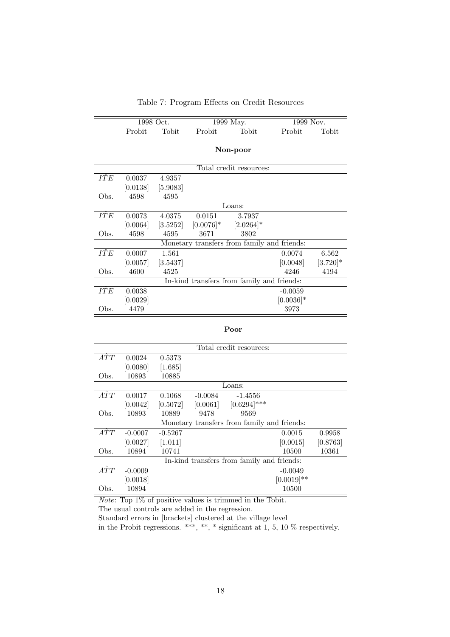|            |          | 1998 Oct. |              | 1999 May.                                   | 1999 Nov.   |             |
|------------|----------|-----------|--------------|---------------------------------------------|-------------|-------------|
|            | Probit   | Tobit     | Probit       | Tobit                                       | Probit      | Tobit       |
|            |          |           |              |                                             |             |             |
|            |          |           |              | Non-poor                                    |             |             |
|            |          |           |              | Total credit resources:                     |             |             |
| IÎE        | 0.0037   | 4.9357    |              |                                             |             |             |
|            | [0.0138] | [5.9083]  |              |                                             |             |             |
| Obs.       | 4598     | 4595      |              |                                             |             |             |
|            |          |           |              | Loans:                                      |             |             |
| <b>ITE</b> | 0.0073   | 4.0375    | 0.0151       | 3.7937                                      |             |             |
|            | [0.0064] | [3.5252]  | $[0.0076]$ * | $[2.0264]$ *                                |             |             |
| Obs.       | 4598     | 4595      | 3671         | 3802                                        |             |             |
|            |          |           |              | Monetary transfers from family and friends: |             |             |
| IÎE        | 0.0007   | 1.561     |              |                                             | 0.0074      | 6.562       |
|            | [0.0057] | [3.5437]  |              |                                             | [0.0048]    | $[3.720]$ * |
| Obs.       | 4600     | 4525      |              |                                             | 4246        | 4194        |
|            |          |           |              | In-kind transfers from family and friends:  |             |             |
| <b>ITE</b> | 0.0038   |           |              |                                             | $-0.0059$   |             |
|            | [0.0029] |           |              |                                             | $[0.0036]*$ |             |
| Obs.       | 4479     |           |              |                                             | 3973        |             |
|            |          |           |              |                                             |             |             |

Table 7: Program Effects on Credit Resources

#### Poor

|                  |           |           |           | Total credit resources:                     |               |          |
|------------------|-----------|-----------|-----------|---------------------------------------------|---------------|----------|
| $\widehat{ATT}$  | 0.0024    | 0.5373    |           |                                             |               |          |
|                  | [0.0080]  | $[1.685]$ |           |                                             |               |          |
| Obs.             | 10893     | 10885     |           |                                             |               |          |
|                  |           |           |           | Loans:                                      |               |          |
| $\widehat{ATT}$  | 0.0017    | 0.1068    | $-0.0084$ | $-1.4556$                                   |               |          |
|                  | [0.0042]  | [0.5072]  | [0.0061]  | $[0.6294]$ ***                              |               |          |
| Obs.             | 10893     | 10889     | 9478      | 9569                                        |               |          |
|                  |           |           |           | Monetary transfers from family and friends: |               |          |
| $\overline{ATT}$ | $-0.0007$ | $-0.5267$ |           |                                             | 0.0015        | 0.9958   |
|                  | [0.0027]  | [1.011]   |           |                                             | [0.0015]      | [0.8763] |
| Obs.             | 10894     | 10741     |           |                                             | 10500         | 10361    |
|                  |           |           |           | In-kind transfers from family and friends:  |               |          |
| $\hat{ATT}$      | $-0.0009$ |           |           |                                             | $-0.0049$     |          |
|                  | [0.0018]  |           |           |                                             | $[0.0019]$ ** |          |
| Obs.             | 10894     |           |           |                                             | 10500         |          |

Note: Top 1% of positive values is trimmed in the Tobit.

The usual controls are added in the regression.

Standard errors in [brackets] clustered at the village level

in the Probit regressions. \*\*\*, \*\*, \* significant at 1, 5, 10 % respectively.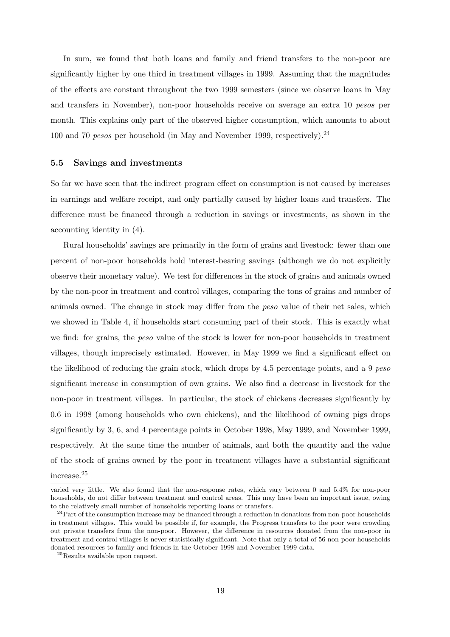In sum, we found that both loans and family and friend transfers to the non-poor are significantly higher by one third in treatment villages in 1999. Assuming that the magnitudes of the effects are constant throughout the two 1999 semesters (since we observe loans in May and transfers in November), non-poor households receive on average an extra 10 pesos per month. This explains only part of the observed higher consumption, which amounts to about 100 and 70 *pesos* per household (in May and November 1999, respectively).<sup>24</sup>

#### 5.5 Savings and investments

So far we have seen that the indirect program effect on consumption is not caused by increases in earnings and welfare receipt, and only partially caused by higher loans and transfers. The difference must be financed through a reduction in savings or investments, as shown in the accounting identity in (4).

Rural households' savings are primarily in the form of grains and livestock: fewer than one percent of non-poor households hold interest-bearing savings (although we do not explicitly observe their monetary value). We test for differences in the stock of grains and animals owned by the non-poor in treatment and control villages, comparing the tons of grains and number of animals owned. The change in stock may differ from the peso value of their net sales, which we showed in Table 4, if households start consuming part of their stock. This is exactly what we find: for grains, the *peso* value of the stock is lower for non-poor households in treatment villages, though imprecisely estimated. However, in May 1999 we find a significant effect on the likelihood of reducing the grain stock, which drops by 4.5 percentage points, and a 9 peso significant increase in consumption of own grains. We also find a decrease in livestock for the non-poor in treatment villages. In particular, the stock of chickens decreases significantly by 0.6 in 1998 (among households who own chickens), and the likelihood of owning pigs drops significantly by 3, 6, and 4 percentage points in October 1998, May 1999, and November 1999, respectively. At the same time the number of animals, and both the quantity and the value of the stock of grains owned by the poor in treatment villages have a substantial significant increase.<sup>25</sup>

varied very little. We also found that the non-response rates, which vary between 0 and 5.4% for non-poor households, do not differ between treatment and control areas. This may have been an important issue, owing to the relatively small number of households reporting loans or transfers.

 $24$ Part of the consumption increase may be financed through a reduction in donations from non-poor households in treatment villages. This would be possible if, for example, the Progresa transfers to the poor were crowding out private transfers from the non-poor. However, the difference in resources donated from the non-poor in treatment and control villages is never statistically significant. Note that only a total of 56 non-poor households donated resources to family and friends in the October 1998 and November 1999 data.

<sup>25</sup>Results available upon request.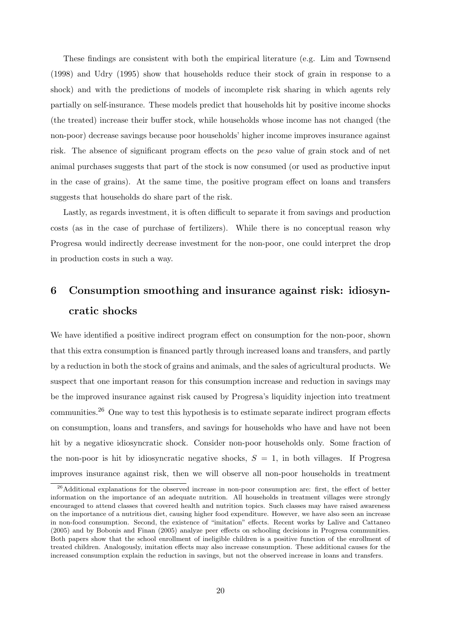These findings are consistent with both the empirical literature (e.g. Lim and Townsend (1998) and Udry (1995) show that households reduce their stock of grain in response to a shock) and with the predictions of models of incomplete risk sharing in which agents rely partially on self-insurance. These models predict that households hit by positive income shocks (the treated) increase their buffer stock, while households whose income has not changed (the non-poor) decrease savings because poor households' higher income improves insurance against risk. The absence of significant program effects on the peso value of grain stock and of net animal purchases suggests that part of the stock is now consumed (or used as productive input in the case of grains). At the same time, the positive program effect on loans and transfers suggests that households do share part of the risk.

Lastly, as regards investment, it is often difficult to separate it from savings and production costs (as in the case of purchase of fertilizers). While there is no conceptual reason why Progresa would indirectly decrease investment for the non-poor, one could interpret the drop in production costs in such a way.

# 6 Consumption smoothing and insurance against risk: idiosyncratic shocks

We have identified a positive indirect program effect on consumption for the non-poor, shown that this extra consumption is financed partly through increased loans and transfers, and partly by a reduction in both the stock of grains and animals, and the sales of agricultural products. We suspect that one important reason for this consumption increase and reduction in savings may be the improved insurance against risk caused by Progresa's liquidity injection into treatment communities.<sup>26</sup> One way to test this hypothesis is to estimate separate indirect program effects on consumption, loans and transfers, and savings for households who have and have not been hit by a negative idiosyncratic shock. Consider non-poor households only. Some fraction of the non-poor is hit by idiosyncratic negative shocks,  $S = 1$ , in both villages. If Progress improves insurance against risk, then we will observe all non-poor households in treatment

<sup>&</sup>lt;sup>26</sup>Additional explanations for the observed increase in non-poor consumption are: first, the effect of better information on the importance of an adequate nutrition. All households in treatment villages were strongly encouraged to attend classes that covered health and nutrition topics. Such classes may have raised awareness on the importance of a nutritious diet, causing higher food expenditure. However, we have also seen an increase in non-food consumption. Second, the existence of "imitation" effects. Recent works by Lalive and Cattaneo (2005) and by Bobonis and Finan (2005) analyze peer effects on schooling decisions in Progresa communities. Both papers show that the school enrollment of ineligible children is a positive function of the enrollment of treated children. Analogously, imitation effects may also increase consumption. These additional causes for the increased consumption explain the reduction in savings, but not the observed increase in loans and transfers.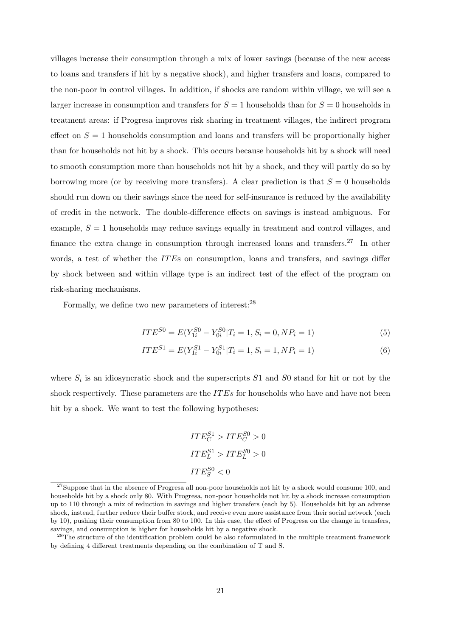villages increase their consumption through a mix of lower savings (because of the new access to loans and transfers if hit by a negative shock), and higher transfers and loans, compared to the non-poor in control villages. In addition, if shocks are random within village, we will see a larger increase in consumption and transfers for  $S = 1$  households than for  $S = 0$  households in treatment areas: if Progresa improves risk sharing in treatment villages, the indirect program effect on  $S = 1$  households consumption and loans and transfers will be proportionally higher than for households not hit by a shock. This occurs because households hit by a shock will need to smooth consumption more than households not hit by a shock, and they will partly do so by borrowing more (or by receiving more transfers). A clear prediction is that  $S = 0$  households should run down on their savings since the need for self-insurance is reduced by the availability of credit in the network. The double-difference effects on savings is instead ambiguous. For example,  $S = 1$  households may reduce savings equally in treatment and control villages, and finance the extra change in consumption through increased loans and transfers.<sup>27</sup> In other words, a test of whether the ITEs on consumption, loans and transfers, and savings differ by shock between and within village type is an indirect test of the effect of the program on risk-sharing mechanisms.

Formally, we define two new parameters of interest:<sup>28</sup>

$$
ITE^{S0} = E(Y_{1i}^{S0} - Y_{0i}^{S0} | T_i = 1, S_i = 0, NP_i = 1)
$$
\n<sup>(5)</sup>

$$
ITE^{S1} = E(Y_{1i}^{S1} - Y_{0i}^{S1} | T_i = 1, S_i = 1, NP_i = 1)
$$
\n
$$
(6)
$$

where  $S_i$  is an idiosyncratic shock and the superscripts  $S1$  and  $S0$  stand for hit or not by the shock respectively. These parameters are the  $ITEs$  for households who have and have not been hit by a shock. We want to test the following hypotheses:

$$
ITE_C^{S1} >ITE_C^{S0} > 0
$$
  

$$
ITE_L^{S1} >ITE_L^{S0} > 0
$$
  

$$
ITE_S^{S0} < 0
$$

 $27$ Suppose that in the absence of Progresa all non-poor households not hit by a shock would consume 100, and households hit by a shock only 80. With Progresa, non-poor households not hit by a shock increase consumption up to 110 through a mix of reduction in savings and higher transfers (each by 5). Households hit by an adverse shock, instead, further reduce their buffer stock, and receive even more assistance from their social network (each by 10), pushing their consumption from 80 to 100. In this case, the effect of Progresa on the change in transfers, savings, and consumption is higher for households hit by a negative shock.

<sup>&</sup>lt;sup>28</sup>The structure of the identification problem could be also reformulated in the multiple treatment framework by defining 4 different treatments depending on the combination of T and S.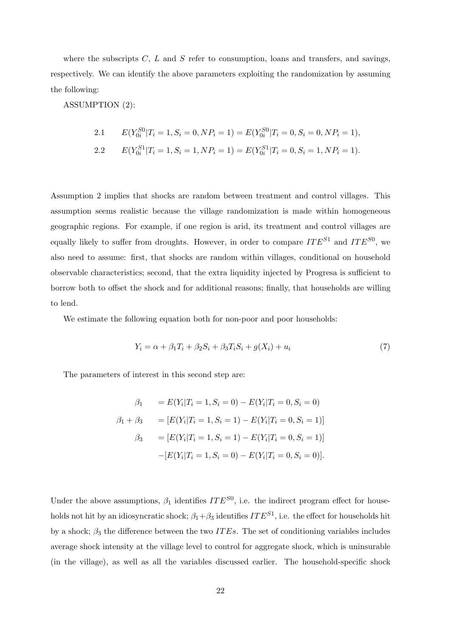where the subscripts  $C, L$  and  $S$  refer to consumption, loans and transfers, and savings, respectively. We can identify the above parameters exploiting the randomization by assuming the following:

ASSUMPTION (2):

2.1 
$$
E(Y_{0i}^{S0}|T_i = 1, S_i = 0, NP_i = 1) = E(Y_{0i}^{S0}|T_i = 0, S_i = 0, NP_i = 1),
$$
  
2.2 
$$
E(Y_{0i}^{S1}|T_i = 1, S_i = 1, NP_i = 1) = E(Y_{0i}^{S1}|T_i = 0, S_i = 1, NP_i = 1).
$$

Assumption 2 implies that shocks are random between treatment and control villages. This assumption seems realistic because the village randomization is made within homogeneous geographic regions. For example, if one region is arid, its treatment and control villages are equally likely to suffer from droughts. However, in order to compare  $ITE^{S1}$  and  $ITE^{S0}$ , we also need to assume: first, that shocks are random within villages, conditional on household observable characteristics; second, that the extra liquidity injected by Progresa is sufficient to borrow both to offset the shock and for additional reasons; finally, that households are willing to lend.

We estimate the following equation both for non-poor and poor households:

$$
Y_i = \alpha + \beta_1 T_i + \beta_2 S_i + \beta_3 T_i S_i + g(X_i) + u_i \tag{7}
$$

The parameters of interest in this second step are:

$$
\beta_1 = E(Y_i | T_i = 1, S_i = 0) - E(Y_i | T_i = 0, S_i = 0)
$$
  
\n
$$
\beta_1 + \beta_3 = [E(Y_i | T_i = 1, S_i = 1) - E(Y_i | T_i = 0, S_i = 1)]
$$
  
\n
$$
\beta_3 = [E(Y_i | T_i = 1, S_i = 1) - E(Y_i | T_i = 0, S_i = 1)]
$$
  
\n
$$
-[E(Y_i | T_i = 1, S_i = 0) - E(Y_i | T_i = 0, S_i = 0)].
$$

Under the above assumptions,  $\beta_1$  identifies  $ITE^{S0}$ , i.e. the indirect program effect for households not hit by an idiosyncratic shock;  $\beta_1 + \beta_3$  identifies  $ITE^{S1}$ , i.e. the effect for households hit by a shock;  $\beta_3$  the difference between the two ITEs. The set of conditioning variables includes average shock intensity at the village level to control for aggregate shock, which is uninsurable (in the village), as well as all the variables discussed earlier. The household-specific shock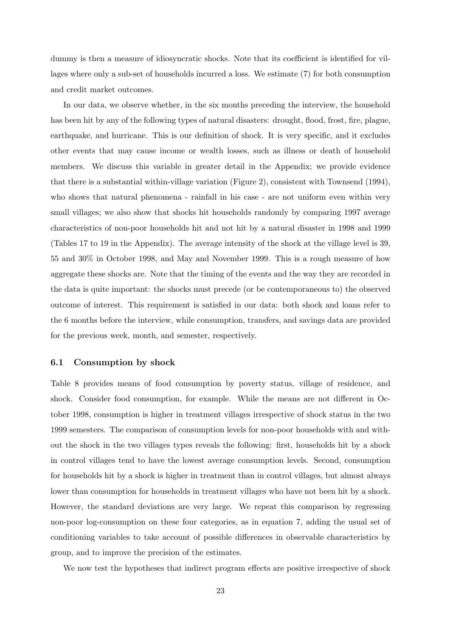dummy is then a measure of idiosyncratic shocks. Note that its coefficient is identified for villages where only a sub-set of households incurred a loss. We estimate (7) for both consumption and credit market outcomes.

In our data, we observe whether, in the six months preceding the interview, the household has been hit by any of the following types of natural disasters: drought, flood, frost, fire, plague, earthquake, and hurricane. This is our definition of shock. It is very specific, and it excludes other events that may cause income or wealth losses, such as illness or death of household members. We discuss this variable in greater detail in the Appendix; we provide evidence that there is a substantial within-village variation (Figure 2), consistent with Townsend (1994), who shows that natural phenomena - rainfall in his case - are not uniform even within very small villages; we also show that shocks hit households randomly by comparing 1997 average characteristics of non-poor households hit and not hit by a natural disaster in 1998 and 1999 (Tables 17 to 19 in the Appendix). The average intensity of the shock at the village level is 39, 55 and 30% in October 1998, and May and November 1999. This is a rough measure of how aggregate these shocks are. Note that the timing of the events and the way they are recorded in the data is quite important: the shocks must precede (or be contemporaneous to) the observed outcome of interest. This requirement is satisfied in our data: both shock and loans refer to the 6 months before the interview, while consumption, transfers, and savings data are provided for the previous week, month, and semester, respectively.

#### 6.1 Consumption by shock

Table 8 provides means of food consumption by poverty status, village of residence, and shock. Consider food consumption, for example. While the means are not different in October 1998, consumption is higher in treatment villages irrespective of shock status in the two 1999 semesters. The comparison of consumption levels for non-poor households with and without the shock in the two villages types reveals the following: first, households hit by a shock in control villages tend to have the lowest average consumption levels. Second, consumption for households hit by a shock is higher in treatment than in control villages, but almost always lower than consumption for households in treatment villages who have not been hit by a shock. However, the standard deviations are very large. We repeat this comparison by regressing non-poor log-consumption on these four categories, as in equation 7, adding the usual set of conditioning variables to take account of possible differences in observable characteristics by group, and to improve the precision of the estimates.

We now test the hypotheses that indirect program effects are positive irrespective of shock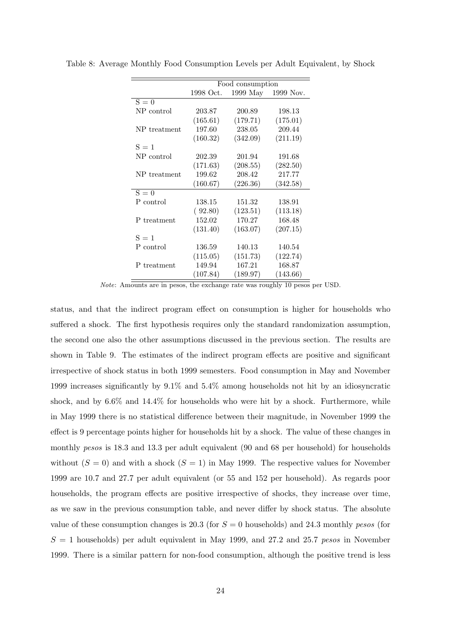|              |           | Food consumption |                    |
|--------------|-----------|------------------|--------------------|
|              | 1998 Oct. |                  | 1999 May 1999 Nov. |
| $S = 0$      |           |                  |                    |
| NP control   | 203.87    | 200.89           | 198.13             |
|              | (165.61)  | (179.71)         | (175.01)           |
| NP treatment | 197.60    | 238.05           | 209.44             |
|              | (160.32)  | (342.09)         | (211.19)           |
| $S = 1$      |           |                  |                    |
| NP control   | 202.39    | 201.94           | 191.68             |
|              | (171.63)  | (208.55)         | (282.50)           |
| NP treatment | 199.62    | 208.42           | 217.77             |
|              | (160.67)  | (226.36)         | (342.58)           |
| $S=0$        |           |                  |                    |
| P control    | 138.15    | 151.32           | 138.91             |
|              | (92.80)   | (123.51)         | (113.18)           |
| P treatment  | 152.02    | 170.27           | 168.48             |
|              | (131.40)  | (163.07)         | (207.15)           |
| $S = 1$      |           |                  |                    |
| P control    | 136.59    | 140.13           | 140.54             |
|              | (115.05)  | (151.73)         | (122.74)           |
| P treatment  | 149.94    | 167.21           | 168.87             |
|              | (107.84)  | (189.97)         | (143.66)           |

Table 8: Average Monthly Food Consumption Levels per Adult Equivalent, by Shock

Note: Amounts are in pesos, the exchange rate was roughly 10 pesos per USD.

status, and that the indirect program effect on consumption is higher for households who suffered a shock. The first hypothesis requires only the standard randomization assumption, the second one also the other assumptions discussed in the previous section. The results are shown in Table 9. The estimates of the indirect program effects are positive and significant irrespective of shock status in both 1999 semesters. Food consumption in May and November 1999 increases significantly by 9.1% and 5.4% among households not hit by an idiosyncratic shock, and by 6.6% and 14.4% for households who were hit by a shock. Furthermore, while in May 1999 there is no statistical difference between their magnitude, in November 1999 the effect is 9 percentage points higher for households hit by a shock. The value of these changes in monthly pesos is 18.3 and 13.3 per adult equivalent (90 and 68 per household) for households without  $(S = 0)$  and with a shock  $(S = 1)$  in May 1999. The respective values for November 1999 are 10.7 and 27.7 per adult equivalent (or 55 and 152 per household). As regards poor households, the program effects are positive irrespective of shocks, they increase over time, as we saw in the previous consumption table, and never differ by shock status. The absolute value of these consumption changes is 20.3 (for  $S = 0$  households) and 24.3 monthly pesos (for  $S = 1$  households) per adult equivalent in May 1999, and 27.2 and 25.7 pesos in November 1999. There is a similar pattern for non-food consumption, although the positive trend is less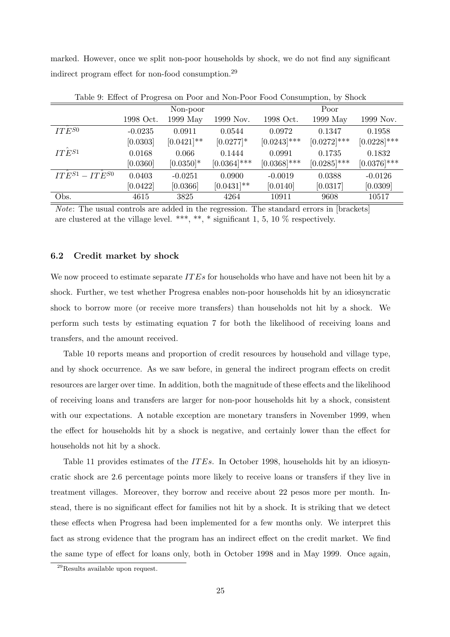marked. However, once we split non-poor households by shock, we do not find any significant indirect program effect for non-food consumption.<sup>29</sup>

|                                   |           | Non-poor      |                |                | Poor           |                |
|-----------------------------------|-----------|---------------|----------------|----------------|----------------|----------------|
|                                   | 1998 Oct. | 1999 May      | 1999 Nov.      | 1998 Oct.      | 1999 May       | 1999 Nov.      |
| $ITE^{S0}$                        | $-0.0235$ | 0.0911        | 0.0544         | 0.0972         | 0.1347         | 0.1958         |
|                                   | [0.0303]  | $[0.0421]$ ** | $[0.0277]$ *   | $[0.0243]$ *** | $[0.0272]$ *** | $[0.0228]$ *** |
| $ITE^{S1}$                        | 0.0168    | 0.066         | 0.1444         | 0.0991         | 0.1735         | 0.1832         |
|                                   | [0.0360]  | $[0.0350]$ *  | $[0.0364]$ *** | $[0.0368]$ *** | $[0.0285]$ *** | $[0.0376]$ *** |
| $IT\hat{E}^{S1} - IT\hat{E}^{S0}$ | 0.0403    | $-0.0251$     | 0.0900         | $-0.0019$      | 0.0388         | $-0.0126$      |
|                                   | [0.0422]  | [0.0366]      | $[0.0431]$ **  | [0.0140]       | [0.0317]       | [0.0309]       |
| Obs.                              | 4615      | 3825          | 4264           | 10911          | 9608           | 10517          |

Table 9: Effect of Progresa on Poor and Non-Poor Food Consumption, by Shock

Note: The usual controls are added in the regression. The standard errors in [brackets] are clustered at the village level. \*\*\*, \*\*, \* significant 1, 5, 10  $\%$  respectively.

#### 6.2 Credit market by shock

We now proceed to estimate separate  $ITEs$  for households who have and have not been hit by a shock. Further, we test whether Progresa enables non-poor households hit by an idiosyncratic shock to borrow more (or receive more transfers) than households not hit by a shock. We perform such tests by estimating equation 7 for both the likelihood of receiving loans and transfers, and the amount received.

Table 10 reports means and proportion of credit resources by household and village type, and by shock occurrence. As we saw before, in general the indirect program effects on credit resources are larger over time. In addition, both the magnitude of these effects and the likelihood of receiving loans and transfers are larger for non-poor households hit by a shock, consistent with our expectations. A notable exception are monetary transfers in November 1999, when the effect for households hit by a shock is negative, and certainly lower than the effect for households not hit by a shock.

Table 11 provides estimates of the *ITEs*. In October 1998, households hit by an idiosyncratic shock are 2.6 percentage points more likely to receive loans or transfers if they live in treatment villages. Moreover, they borrow and receive about 22 pesos more per month. Instead, there is no significant effect for families not hit by a shock. It is striking that we detect these effects when Progresa had been implemented for a few months only. We interpret this fact as strong evidence that the program has an indirect effect on the credit market. We find the same type of effect for loans only, both in October 1998 and in May 1999. Once again,

<sup>&</sup>lt;sup>29</sup>Results available upon request.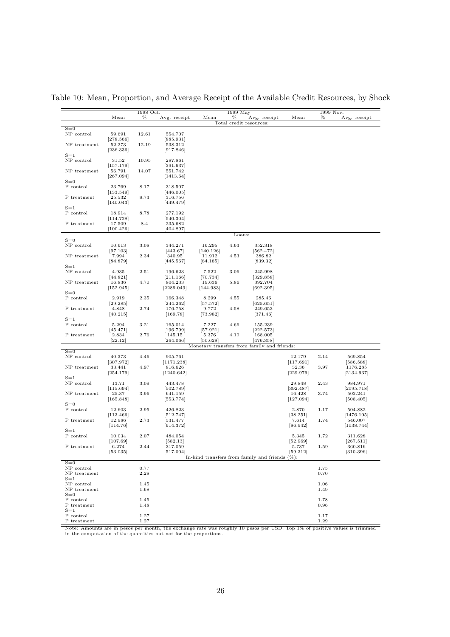|                       |                                  | 1998 Oct. |                       |                     | 1999 May |                                                    |                    | 1999 Nov. |                        |
|-----------------------|----------------------------------|-----------|-----------------------|---------------------|----------|----------------------------------------------------|--------------------|-----------|------------------------|
|                       | Mean                             | %         | Avg. receipt          | Mean                | %        | Avg. receipt                                       | Mean               | %         | Avg. receipt           |
|                       |                                  |           |                       |                     |          | Total credit resources:                            |                    |           |                        |
| $S=0$                 |                                  |           |                       |                     |          |                                                    |                    |           |                        |
| NP control            | 59.691                           | 12.61     | 554.707               |                     |          |                                                    |                    |           |                        |
| NP treatment          | $\left[278.566\right]$<br>52.273 | 12.19     | [885.931]<br>538.312  |                     |          |                                                    |                    |           |                        |
|                       | [236.336]                        |           | [917.846]             |                     |          |                                                    |                    |           |                        |
| $S=1$                 |                                  |           |                       |                     |          |                                                    |                    |           |                        |
| NP control            | 31.52                            | 10.95     | 287.861               |                     |          |                                                    |                    |           |                        |
|                       | [157.179]                        |           | [391.637]             |                     |          |                                                    |                    |           |                        |
| NP treatment          | 56.791                           | 14.07     | 551.742               |                     |          |                                                    |                    |           |                        |
|                       | [267.094]                        |           | [1413.64]             |                     |          |                                                    |                    |           |                        |
| $S=0$<br>P control    | 23.769                           | 8.17      | 318.507               |                     |          |                                                    |                    |           |                        |
|                       | [133.549]                        |           | [446.005]             |                     |          |                                                    |                    |           |                        |
| P treatment           | 25.532                           | 8.73      | 316.756               |                     |          |                                                    |                    |           |                        |
|                       | [140.043]                        |           | [449.479]             |                     |          |                                                    |                    |           |                        |
| $S=1$                 |                                  |           |                       |                     |          |                                                    |                    |           |                        |
| P control             | 18.914                           | 8.78      | 277.192               |                     |          |                                                    |                    |           |                        |
|                       | [114.728]                        |           | [540.304]             |                     |          |                                                    |                    |           |                        |
| P treatment           | 17.509                           | 8.4       | 235.682               |                     |          |                                                    |                    |           |                        |
|                       | [100.426]                        |           | [404.897]             |                     | Loans:   |                                                    |                    |           |                        |
| $S=0$                 |                                  |           |                       |                     |          |                                                    |                    |           |                        |
| NP control            | 10.613                           | 3.08      | 344.271               | 16.295              | 4.63     | 352.318                                            |                    |           |                        |
|                       | [97.103]                         |           | [443.67]              | [140.126]           |          | [562.472]                                          |                    |           |                        |
| NP treatment          | 7.994                            | 2.34      | 340.95                | 11.912              | 4.53     | 386.82                                             |                    |           |                        |
|                       | [84.879]                         |           | [445.567]             | [84.185]            |          | [839.32]                                           |                    |           |                        |
| $S=1$                 |                                  |           |                       |                     |          |                                                    |                    |           |                        |
| NP control            | 4.935                            | $\!2.51$  | 196.623               | 7.522               | 3.06     | 245.998                                            |                    |           |                        |
| NP treatment          | [44.821]<br>16.836               | 4.70      | [211.166]<br>804.233  | [70.734]<br>19.636  | 5.86     | [329.858]<br>392.704                               |                    |           |                        |
|                       | [152.945]                        |           | [2289.049]            | [144.983]           |          | [692.395]                                          |                    |           |                        |
| $S=0$                 |                                  |           |                       |                     |          |                                                    |                    |           |                        |
| P control             | 2.919                            | 2.35      | 166.348               | 8.299               | 4.55     | 285.46                                             |                    |           |                        |
|                       | [29.285]                         |           | [244.262]             | [57.572]            |          | [625.651]                                          |                    |           |                        |
| P treatment           | 4.848                            | 2.74      | 176.758               | 9.772               | 4.58     | 249.653                                            |                    |           |                        |
|                       | [40.215]                         |           | [169.78]              | [73.982]            |          | [371.46]                                           |                    |           |                        |
| $S=1$                 |                                  |           |                       |                     |          |                                                    |                    |           |                        |
| P control             | 5.294<br>[45.471]                | 3.21      | 165.014<br>[196.799]  | 7.227<br>$[57.921]$ | 4.66     | 155.239<br>[222.573]                               |                    |           |                        |
| P treatment           | 2.834                            | 2.76      | 145.15                | 5.376               | 4.10     | 168.005                                            |                    |           |                        |
|                       | [22.12]                          |           | [264.066]             | [50.628]            |          | [476.358]                                          |                    |           |                        |
|                       |                                  |           |                       |                     |          | Monetary transfers from family and friends:        |                    |           |                        |
| $S=0$                 |                                  |           |                       |                     |          |                                                    |                    |           |                        |
| NP control            | 40.373                           | 4.46      | 905.761               |                     |          |                                                    | 12.179             | 2.14      | 569.854                |
| NP treatment          | [307.972]                        | 4.97      | [1171.238]            |                     |          |                                                    | [117.691]          |           | [586.588]              |
|                       | 33.441<br>[254.179]              |           | 816.626<br>[1240.642] |                     |          |                                                    | 32.36<br>[229.979] | 3.97      | 1176.285<br>[2134.937] |
| $S=1$                 |                                  |           |                       |                     |          |                                                    |                    |           |                        |
| NP control            | 13.71                            | 3.09      | 443.478               |                     |          |                                                    | 29.848             | 2.43      | 984.971                |
|                       | [115.694]                        |           | [502.789]             |                     |          |                                                    | [392.487]          |           | [2095.718]             |
| NP treatment          | 25.37                            | 3.96      | 641.159               |                     |          |                                                    | 16.428             | 3.74      | 502.241                |
|                       | [165.848]                        |           | [553.774]             |                     |          |                                                    | [127.094]          |           | [508.405]              |
| $S=0$<br>P control    | 12.603                           | 2.95      | 426.823               |                     |          |                                                    | 2.870              | 1.17      | 504.882                |
|                       | 113.466                          |           | [512.747]             |                     |          |                                                    | [38.251]           |           | [1476.105]             |
| P treatment           | 12.986                           | 2.73      | 531.477               |                     |          |                                                    | 7.614              | 1.74      | 546.007                |
|                       | [114.76]                         |           | [614.372]             |                     |          |                                                    | [86.942]           |           | [1038.744]             |
| $S=1$                 |                                  |           |                       |                     |          |                                                    |                    |           |                        |
| P control             | 10.034                           | 2.07      | 484.054               |                     |          |                                                    | 5.345              | 1.72      | 311.628                |
|                       | [107.69]                         |           | [582.13]              |                     |          |                                                    | [52.969]           |           | [267.511]              |
| P treatment           | 6.274                            | 2.44      | 317.059               |                     |          |                                                    | 5.737              | 1.59      | 360.816                |
|                       | 53.035                           |           | [517.004]             |                     |          | In-kind transfers from family and friends $(\%)$ : | [59.312]           |           | [310.396]              |
| $S=0$                 |                                  |           |                       |                     |          |                                                    |                    |           |                        |
| NP control            |                                  | 0.77      |                       |                     |          |                                                    |                    | 1.75      |                        |
| NP treatment          |                                  | 2.28      |                       |                     |          |                                                    |                    | 0.70      |                        |
| $S=1$                 |                                  |           |                       |                     |          |                                                    |                    |           |                        |
| NP control            |                                  | 1.45      |                       |                     |          |                                                    |                    | 1.06      |                        |
| NP treatment<br>$S=0$ |                                  | 1.68      |                       |                     |          |                                                    |                    | 1.49      |                        |
| P control             |                                  | 1.45      |                       |                     |          |                                                    |                    | 1.78      |                        |
| P treatment           |                                  | 1.48      |                       |                     |          |                                                    |                    | 0.96      |                        |
| $S=1$                 |                                  |           |                       |                     |          |                                                    |                    |           |                        |
| P control             |                                  | 1.27      |                       |                     |          |                                                    |                    | 1.17      |                        |
| P treatment           |                                  | 1.27      |                       |                     |          |                                                    |                    | 1.29      |                        |

Table 10: Mean, Proportion, and Average Receipt of the Available Credit Resources, by Shock

Note: Amounts are in pesos per month, the exchange rate was roughly 10 pesos per USD. Top 1% of positive values is trimmed in the computation of the quantities but not for the proportions.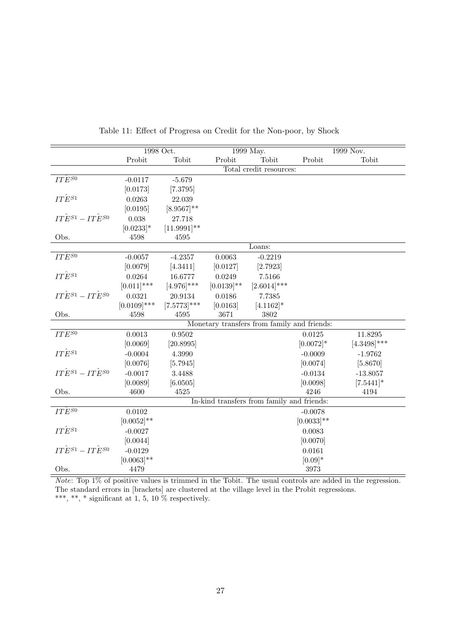|                                   |                | 1998 Oct.        |               | 1999 May.                                   |               | 1999 Nov.      |
|-----------------------------------|----------------|------------------|---------------|---------------------------------------------|---------------|----------------|
|                                   | Probit         | Tobit            | Probit        | Tobit                                       | Probit        | Tobit          |
|                                   |                |                  |               | Total credit resources:                     |               |                |
| $IT\hat{E}^{S0}$                  | $-0.0117$      | $-5.679$         |               |                                             |               |                |
|                                   | [0.0173]       | [7.3795]         |               |                                             |               |                |
| $IT\hat{E}^{S1}$                  | 0.0263         | 22.039           |               |                                             |               |                |
|                                   | [0.0195]       | $[8.9567]^{**}$  |               |                                             |               |                |
| $IT\hat{E}^{S1}-IT\hat{E}^{S0}$   | 0.038          | 27.718           |               |                                             |               |                |
|                                   | $[0.0233]*$    | $[11.9991]^{**}$ |               |                                             |               |                |
| Obs.                              | 4598           | 4595             |               |                                             |               |                |
|                                   |                |                  |               | Loans:                                      |               |                |
| $IT\widetilde{E}^{S0}$            | $-0.0057$      | $-4.2357$        | 0.0063        | $-0.2219$                                   |               |                |
|                                   | [0.0079]       | [4.3411]         | [0.0127]      | [2.7923]                                    |               |                |
| $IT\hat{E}^{S1}$                  | 0.0264         | 16.6777          | 0.0249        | 7.5166                                      |               |                |
|                                   | $[0.011]$ ***  | $[4.976]$ ***    | $[0.0139]$ ** | $[2.6014]$ ***                              |               |                |
| $IT\hat{E}^{S1} - IT\hat{E}^{S0}$ | 0.0321         | 20.9134          | 0.0186        | 7.7385                                      |               |                |
|                                   | $[0.0109]$ *** | $[7.5773]$ ***   | [0.0163]      | $[4.1162]$ *                                |               |                |
| Obs.                              | 4598           | 4595             | 3671          | 3802                                        |               |                |
|                                   |                |                  |               | Monetary transfers from family and friends: |               |                |
| $IT\widetilde{E}^{S0}$            | 0.0013         | 0.9502           |               |                                             | 0.0125        | 11.8295        |
|                                   | [0.0069]       | [20.8995]        |               |                                             | $[0.0072]$ *  | $[4.3498]$ *** |
| $IT\hat{E}^{S1}$                  | $-0.0004$      | 4.3990           |               |                                             | $-0.0009$     | $-1.9762$      |
|                                   | [0.0076]       | [5.7945]         |               |                                             | [0.0074]      | [5.8670]       |
| $IT\hat{E}^{S1} - IT\hat{E}^{S0}$ | $-0.0017$      | 3.4488           |               |                                             | $-0.0134$     | $-13.8057$     |
|                                   | [0.0089]       | [6.0505]         |               |                                             | [0.0098]      | $[7.5441]$ *   |
| Obs.                              | 4600           | 4525             |               |                                             | 4246          | 4194           |
|                                   |                |                  |               | In-kind transfers from family and friends:  |               |                |
| $IT\hat{E}^{S0}$                  | 0.0102         |                  |               |                                             | $-0.0078$     |                |
|                                   | $[0.0052]$ **  |                  |               |                                             | $[0.0033]$ ** |                |
| $IT\hat{E}^{S1}$                  | $-0.0027$      |                  |               |                                             | 0.0083        |                |
|                                   | [0.0044]       |                  |               |                                             | [0.0070]      |                |
| $IT\hat{E}^{S1} - IT\hat{E}^{S0}$ | $-0.0129$      |                  |               |                                             | 0.0161        |                |
|                                   | $[0.0063]$ **  |                  |               |                                             | $[0.09]*$     |                |
| Obs.                              | 4479           |                  |               |                                             | 3973          |                |

Table 11: Effect of Progresa on Credit for the Non-poor, by Shock

Note: Top 1% of positive values is trimmed in the Tobit. The usual controls are added in the regression. The standard errors in [brackets] are clustered at the village level in the Probit regressions. \*\*\*, \*\*, \* significant at 1, 5, 10  $\%$  respectively.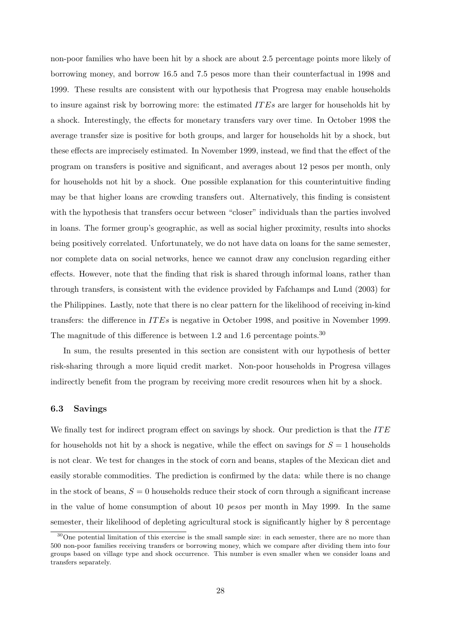non-poor families who have been hit by a shock are about 2.5 percentage points more likely of borrowing money, and borrow 16.5 and 7.5 pesos more than their counterfactual in 1998 and 1999. These results are consistent with our hypothesis that Progresa may enable households to insure against risk by borrowing more: the estimated ITEs are larger for households hit by a shock. Interestingly, the effects for monetary transfers vary over time. In October 1998 the average transfer size is positive for both groups, and larger for households hit by a shock, but these effects are imprecisely estimated. In November 1999, instead, we find that the effect of the program on transfers is positive and significant, and averages about 12 pesos per month, only for households not hit by a shock. One possible explanation for this counterintuitive finding may be that higher loans are crowding transfers out. Alternatively, this finding is consistent with the hypothesis that transfers occur between "closer" individuals than the parties involved in loans. The former group's geographic, as well as social higher proximity, results into shocks being positively correlated. Unfortunately, we do not have data on loans for the same semester, nor complete data on social networks, hence we cannot draw any conclusion regarding either effects. However, note that the finding that risk is shared through informal loans, rather than through transfers, is consistent with the evidence provided by Fafchamps and Lund (2003) for the Philippines. Lastly, note that there is no clear pattern for the likelihood of receiving in-kind transfers: the difference in *ITEs* is negative in October 1998, and positive in November 1999. The magnitude of this difference is between 1.2 and 1.6 percentage points.<sup>30</sup>

In sum, the results presented in this section are consistent with our hypothesis of better risk-sharing through a more liquid credit market. Non-poor households in Progresa villages indirectly benefit from the program by receiving more credit resources when hit by a shock.

#### 6.3 Savings

We finally test for indirect program effect on savings by shock. Our prediction is that the  $ITE$ for households not hit by a shock is negative, while the effect on savings for  $S = 1$  households is not clear. We test for changes in the stock of corn and beans, staples of the Mexican diet and easily storable commodities. The prediction is confirmed by the data: while there is no change in the stock of beans,  $S = 0$  households reduce their stock of corn through a significant increase in the value of home consumption of about 10 pesos per month in May 1999. In the same semester, their likelihood of depleting agricultural stock is significantly higher by 8 percentage

<sup>30</sup>One potential limitation of this exercise is the small sample size: in each semester, there are no more than 500 non-poor families receiving transfers or borrowing money, which we compare after dividing them into four groups based on village type and shock occurrence. This number is even smaller when we consider loans and transfers separately.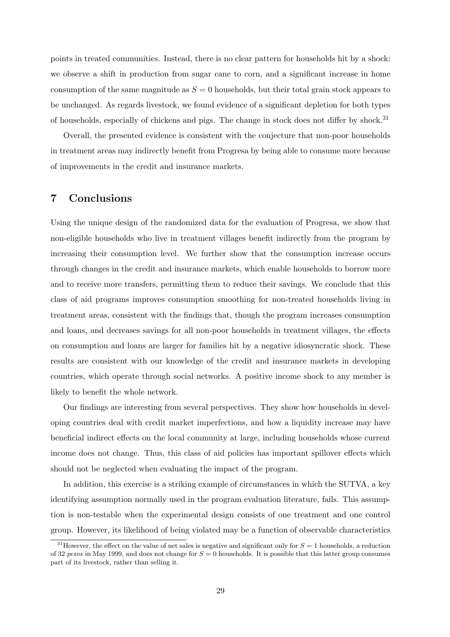points in treated communities. Instead, there is no clear pattern for households hit by a shock: we observe a shift in production from sugar cane to corn, and a significant increase in home consumption of the same magnitude as  $S = 0$  households, but their total grain stock appears to be unchanged. As regards livestock, we found evidence of a significant depletion for both types of households, especially of chickens and pigs. The change in stock does not differ by shock.<sup>31</sup>

Overall, the presented evidence is consistent with the conjecture that non-poor households in treatment areas may indirectly benefit from Progresa by being able to consume more because of improvements in the credit and insurance markets.

# 7 Conclusions

Using the unique design of the randomized data for the evaluation of Progresa, we show that non-eligible households who live in treatment villages benefit indirectly from the program by increasing their consumption level. We further show that the consumption increase occurs through changes in the credit and insurance markets, which enable households to borrow more and to receive more transfers, permitting them to reduce their savings. We conclude that this class of aid programs improves consumption smoothing for non-treated households living in treatment areas, consistent with the findings that, though the program increases consumption and loans, and decreases savings for all non-poor households in treatment villages, the effects on consumption and loans are larger for families hit by a negative idiosyncratic shock. These results are consistent with our knowledge of the credit and insurance markets in developing countries, which operate through social networks. A positive income shock to any member is likely to benefit the whole network.

Our findings are interesting from several perspectives. They show how households in developing countries deal with credit market imperfections, and how a liquidity increase may have beneficial indirect effects on the local community at large, including households whose current income does not change. Thus, this class of aid policies has important spillover effects which should not be neglected when evaluating the impact of the program.

In addition, this exercise is a striking example of circumstances in which the SUTVA, a key identifying assumption normally used in the program evaluation literature, fails. This assumption is non-testable when the experimental design consists of one treatment and one control group. However, its likelihood of being violated may be a function of observable characteristics

<sup>&</sup>lt;sup>31</sup>However, the effect on the value of net sales is negative and significant only for  $S = 1$  households, a reduction of 32 pesos in May 1999, and does not change for  $S = 0$  households. It is possible that this latter group consumes part of its livestock, rather than selling it.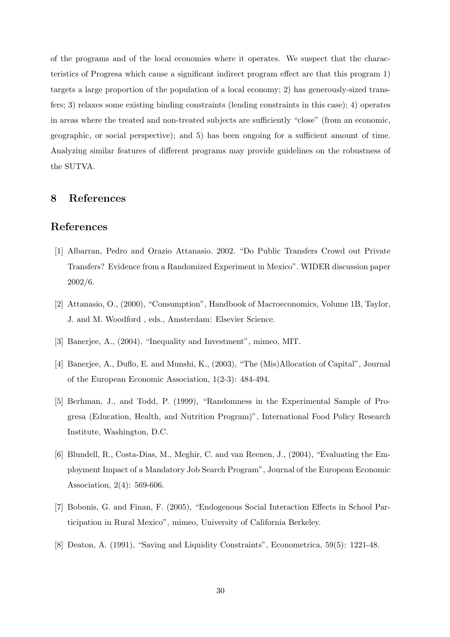of the programs and of the local economies where it operates. We suspect that the characteristics of Progresa which cause a significant indirect program effect are that this program 1) targets a large proportion of the population of a local economy; 2) has generously-sized transfers; 3) relaxes some existing binding constraints (lending constraints in this case); 4) operates in areas where the treated and non-treated subjects are sufficiently "close" (from an economic, geographic, or social perspective); and 5) has been ongoing for a sufficient amount of time. Analyzing similar features of different programs may provide guidelines on the robustness of the SUTVA.

# 8 References

# References

- [1] Albarran, Pedro and Orazio Attanasio. 2002. "Do Public Transfers Crowd out Private Transfers? Evidence from a Randomized Experiment in Mexico". WIDER discussion paper 2002/6.
- [2] Attanasio, O., (2000), "Consumption", Handbook of Macroeconomics, Volume 1B, Taylor, J. and M. Woodford , eds., Amsterdam: Elsevier Science.
- [3] Banerjee, A., (2004), "Inequality and Investment", mimeo, MIT.
- [4] Banerjee, A., Duflo, E. and Munshi, K., (2003), "The (Mis)Allocation of Capital", Journal of the European Economic Association, 1(2-3): 484-494.
- [5] Berhman, J., and Todd, P. (1999), "Randomness in the Experimental Sample of Progresa (Education, Health, and Nutrition Program)", International Food Policy Research Institute, Washington, D.C.
- [6] Blundell, R., Costa-Dias, M., Meghir, C. and van Reenen, J., (2004), "Evaluating the Employment Impact of a Mandatory Job Search Program", Journal of the European Economic Association, 2(4): 569-606.
- [7] Bobonis, G. and Finan, F. (2005), "Endogenous Social Interaction Effects in School Participation in Rural Mexico", mimeo, University of California Berkeley.
- [8] Deaton, A. (1991), "Saving and Liquidity Constraints", Econometrica, 59(5): 1221-48.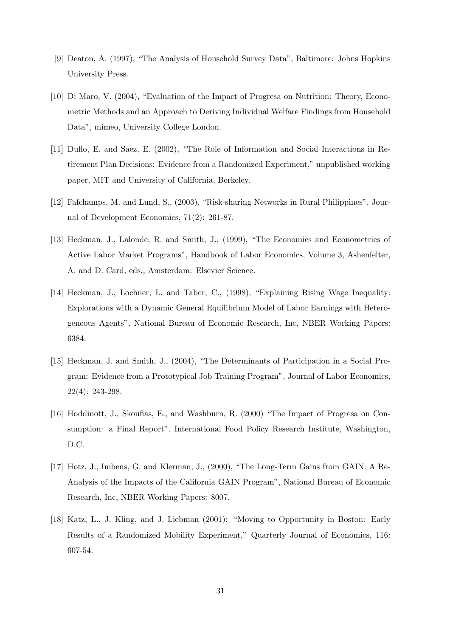- [9] Deaton, A. (1997), "The Analysis of Household Survey Data", Baltimore: Johns Hopkins University Press.
- [10] Di Maro, V. (2004), "Evaluation of the Impact of Progresa on Nutrition: Theory, Econometric Methods and an Approach to Deriving Individual Welfare Findings from Household Data", mimeo, University College London.
- [11] Duflo, E. and Saez, E. (2002), "The Role of Information and Social Interactions in Retirement Plan Decisions: Evidence from a Randomized Experiment," unpublished working paper, MIT and University of California, Berkeley.
- [12] Fafchamps, M. and Lund, S., (2003), "Risk-sharing Networks in Rural Philippines", Journal of Development Economics, 71(2): 261-87.
- [13] Heckman, J., Lalonde, R. and Smith, J., (1999), "The Economics and Econometrics of Active Labor Market Programs", Handbook of Labor Economics, Volume 3, Ashenfelter, A. and D. Card, eds., Amsterdam: Elsevier Science.
- [14] Heckman, J., Lochner, L. and Taber, C., (1998), "Explaining Rising Wage Inequality: Explorations with a Dynamic General Equilibrium Model of Labor Earnings with Heterogeneous Agents", National Bureau of Economic Research, Inc, NBER Working Papers: 6384.
- [15] Heckman, J. and Smith, J., (2004), "The Determinants of Participation in a Social Program: Evidence from a Prototypical Job Training Program", Journal of Labor Economics, 22(4): 243-298.
- [16] Hoddinott, J., Skoufias, E., and Washburn, R. (2000) "The Impact of Progresa on Consumption: a Final Report". International Food Policy Research Institute, Washington, D.C.
- [17] Hotz, J., Imbens, G. and Klerman, J., (2000), "The Long-Term Gains from GAIN: A Re-Analysis of the Impacts of the California GAIN Program", National Bureau of Economic Research, Inc, NBER Working Papers: 8007.
- [18] Katz, L., J. Kling, and J. Liebman (2001): "Moving to Opportunity in Boston: Early Results of a Randomized Mobility Experiment," Quarterly Journal of Economics, 116: 607-54.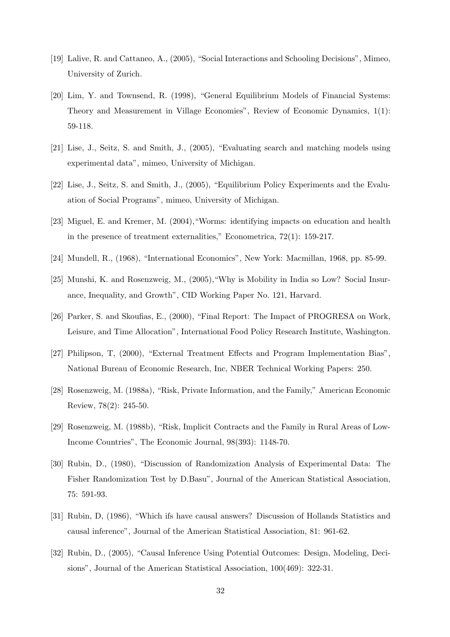- [19] Lalive, R. and Cattaneo, A., (2005), "Social Interactions and Schooling Decisions", Mimeo, University of Zurich.
- [20] Lim, Y. and Townsend, R. (1998), "General Equilibrium Models of Financial Systems: Theory and Measurement in Village Economies", Review of Economic Dynamics, 1(1): 59-118.
- [21] Lise, J., Seitz, S. and Smith, J., (2005), "Evaluating search and matching models using experimental data", mimeo, University of Michigan.
- [22] Lise, J., Seitz, S. and Smith, J., (2005), "Equilibrium Policy Experiments and the Evaluation of Social Programs", mimeo, University of Michigan.
- [23] Miguel, E. and Kremer, M. (2004),"Worms: identifying impacts on education and health in the presence of treatment externalities," Econometrica, 72(1): 159-217.
- [24] Mundell, R., (1968), "International Economics", New York: Macmillan, 1968, pp. 85-99.
- [25] Munshi, K. and Rosenzweig, M., (2005),"Why is Mobility in India so Low? Social Insurance, Inequality, and Growth", CID Working Paper No. 121, Harvard.
- [26] Parker, S. and Skoufias, E., (2000), "Final Report: The Impact of PROGRESA on Work, Leisure, and Time Allocation", International Food Policy Research Institute, Washington.
- [27] Philipson, T, (2000), "External Treatment Effects and Program Implementation Bias", National Bureau of Economic Research, Inc, NBER Technical Working Papers: 250.
- [28] Rosenzweig, M. (1988a), "Risk, Private Information, and the Family," American Economic Review, 78(2): 245-50.
- [29] Rosenzweig, M. (1988b), "Risk, Implicit Contracts and the Family in Rural Areas of Low-Income Countries", The Economic Journal, 98(393): 1148-70.
- [30] Rubin, D., (1980), "Discussion of Randomization Analysis of Experimental Data: The Fisher Randomization Test by D.Basu", Journal of the American Statistical Association, 75: 591-93.
- [31] Rubin, D, (1986), "Which ifs have causal answers? Discussion of Hollands Statistics and causal inference", Journal of the American Statistical Association, 81: 961-62.
- [32] Rubin, D., (2005), "Causal Inference Using Potential Outcomes: Design, Modeling, Decisions", Journal of the American Statistical Association, 100(469): 322-31.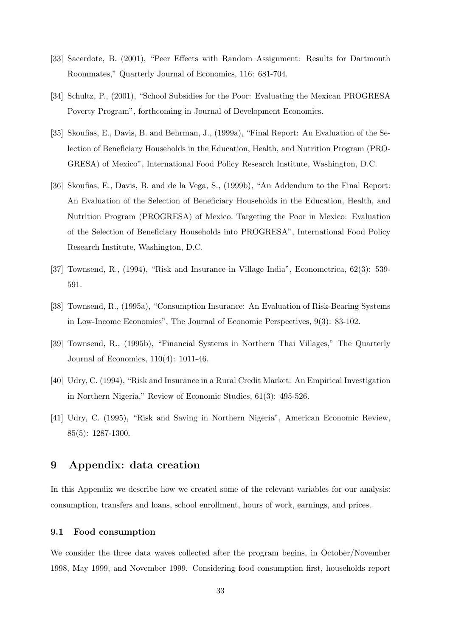- [33] Sacerdote, B. (2001), "Peer Effects with Random Assignment: Results for Dartmouth Roommates," Quarterly Journal of Economics, 116: 681-704.
- [34] Schultz, P., (2001), "School Subsidies for the Poor: Evaluating the Mexican PROGRESA Poverty Program", forthcoming in Journal of Development Economics.
- [35] Skoufias, E., Davis, B. and Behrman, J., (1999a), "Final Report: An Evaluation of the Selection of Beneficiary Households in the Education, Health, and Nutrition Program (PRO-GRESA) of Mexico", International Food Policy Research Institute, Washington, D.C.
- [36] Skoufias, E., Davis, B. and de la Vega, S., (1999b), "An Addendum to the Final Report: An Evaluation of the Selection of Beneficiary Households in the Education, Health, and Nutrition Program (PROGRESA) of Mexico. Targeting the Poor in Mexico: Evaluation of the Selection of Beneficiary Households into PROGRESA", International Food Policy Research Institute, Washington, D.C.
- [37] Townsend, R., (1994), "Risk and Insurance in Village India", Econometrica, 62(3): 539- 591.
- [38] Townsend, R., (1995a), "Consumption Insurance: An Evaluation of Risk-Bearing Systems in Low-Income Economies", The Journal of Economic Perspectives, 9(3): 83-102.
- [39] Townsend, R., (1995b), "Financial Systems in Northern Thai Villages," The Quarterly Journal of Economics, 110(4): 1011-46.
- [40] Udry, C. (1994), "Risk and Insurance in a Rural Credit Market: An Empirical Investigation in Northern Nigeria," Review of Economic Studies, 61(3): 495-526.
- [41] Udry, C. (1995), "Risk and Saving in Northern Nigeria", American Economic Review, 85(5): 1287-1300.

# 9 Appendix: data creation

In this Appendix we describe how we created some of the relevant variables for our analysis: consumption, transfers and loans, school enrollment, hours of work, earnings, and prices.

#### 9.1 Food consumption

We consider the three data waves collected after the program begins, in October/November 1998, May 1999, and November 1999. Considering food consumption first, households report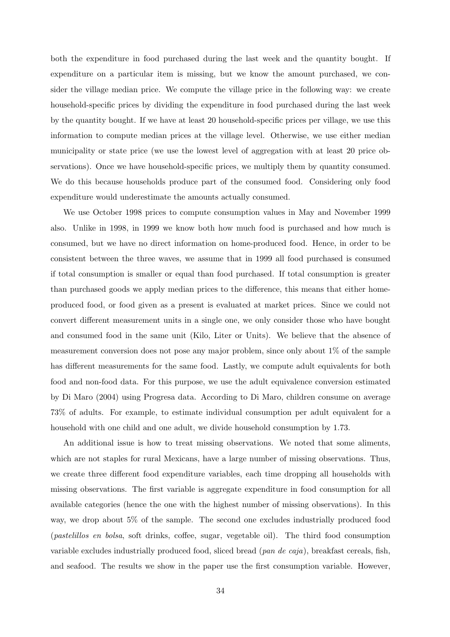both the expenditure in food purchased during the last week and the quantity bought. If expenditure on a particular item is missing, but we know the amount purchased, we consider the village median price. We compute the village price in the following way: we create household-specific prices by dividing the expenditure in food purchased during the last week by the quantity bought. If we have at least 20 household-specific prices per village, we use this information to compute median prices at the village level. Otherwise, we use either median municipality or state price (we use the lowest level of aggregation with at least 20 price observations). Once we have household-specific prices, we multiply them by quantity consumed. We do this because households produce part of the consumed food. Considering only food expenditure would underestimate the amounts actually consumed.

We use October 1998 prices to compute consumption values in May and November 1999 also. Unlike in 1998, in 1999 we know both how much food is purchased and how much is consumed, but we have no direct information on home-produced food. Hence, in order to be consistent between the three waves, we assume that in 1999 all food purchased is consumed if total consumption is smaller or equal than food purchased. If total consumption is greater than purchased goods we apply median prices to the difference, this means that either homeproduced food, or food given as a present is evaluated at market prices. Since we could not convert different measurement units in a single one, we only consider those who have bought and consumed food in the same unit (Kilo, Liter or Units). We believe that the absence of measurement conversion does not pose any major problem, since only about 1% of the sample has different measurements for the same food. Lastly, we compute adult equivalents for both food and non-food data. For this purpose, we use the adult equivalence conversion estimated by Di Maro (2004) using Progresa data. According to Di Maro, children consume on average 73% of adults. For example, to estimate individual consumption per adult equivalent for a household with one child and one adult, we divide household consumption by 1.73.

An additional issue is how to treat missing observations. We noted that some aliments, which are not staples for rural Mexicans, have a large number of missing observations. Thus, we create three different food expenditure variables, each time dropping all households with missing observations. The first variable is aggregate expenditure in food consumption for all available categories (hence the one with the highest number of missing observations). In this way, we drop about 5% of the sample. The second one excludes industrially produced food (pastelillos en bolsa, soft drinks, coffee, sugar, vegetable oil). The third food consumption variable excludes industrially produced food, sliced bread (*pan de caja*), breakfast cereals, fish, and seafood. The results we show in the paper use the first consumption variable. However,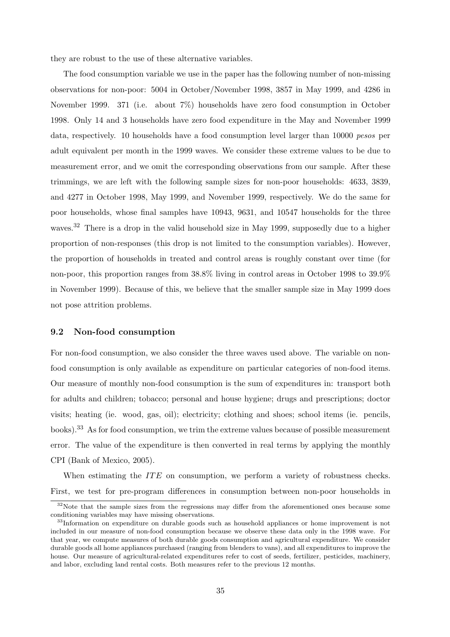they are robust to the use of these alternative variables.

The food consumption variable we use in the paper has the following number of non-missing observations for non-poor: 5004 in October/November 1998, 3857 in May 1999, and 4286 in November 1999. 371 (i.e. about 7%) households have zero food consumption in October 1998. Only 14 and 3 households have zero food expenditure in the May and November 1999 data, respectively. 10 households have a food consumption level larger than 10000 *pesos* per adult equivalent per month in the 1999 waves. We consider these extreme values to be due to measurement error, and we omit the corresponding observations from our sample. After these trimmings, we are left with the following sample sizes for non-poor households: 4633, 3839, and 4277 in October 1998, May 1999, and November 1999, respectively. We do the same for poor households, whose final samples have 10943, 9631, and 10547 households for the three waves.<sup>32</sup> There is a drop in the valid household size in May 1999, supposedly due to a higher proportion of non-responses (this drop is not limited to the consumption variables). However, the proportion of households in treated and control areas is roughly constant over time (for non-poor, this proportion ranges from 38.8% living in control areas in October 1998 to 39.9% in November 1999). Because of this, we believe that the smaller sample size in May 1999 does not pose attrition problems.

#### 9.2 Non-food consumption

For non-food consumption, we also consider the three waves used above. The variable on nonfood consumption is only available as expenditure on particular categories of non-food items. Our measure of monthly non-food consumption is the sum of expenditures in: transport both for adults and children; tobacco; personal and house hygiene; drugs and prescriptions; doctor visits; heating (ie. wood, gas, oil); electricity; clothing and shoes; school items (ie. pencils, books).<sup>33</sup> As for food consumption, we trim the extreme values because of possible measurement error. The value of the expenditure is then converted in real terms by applying the monthly CPI (Bank of Mexico, 2005).

When estimating the  $ITE$  on consumption, we perform a variety of robustness checks. First, we test for pre-program differences in consumption between non-poor households in

<sup>&</sup>lt;sup>32</sup>Note that the sample sizes from the regressions may differ from the aforementioned ones because some conditioning variables may have missing observations.

<sup>&</sup>lt;sup>33</sup>Information on expenditure on durable goods such as household appliances or home improvement is not included in our measure of non-food consumption because we observe these data only in the 1998 wave. For that year, we compute measures of both durable goods consumption and agricultural expenditure. We consider durable goods all home appliances purchased (ranging from blenders to vans), and all expenditures to improve the house. Our measure of agricultural-related expenditures refer to cost of seeds, fertilizer, pesticides, machinery, and labor, excluding land rental costs. Both measures refer to the previous 12 months.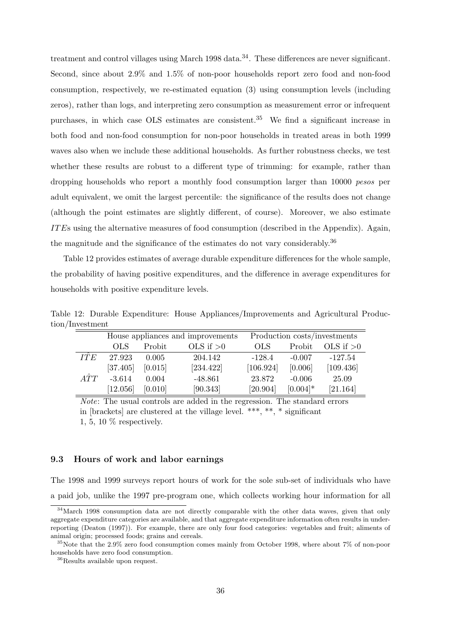treatment and control villages using March 1998 data.<sup>34</sup>. These differences are never significant. Second, since about 2.9% and 1.5% of non-poor households report zero food and non-food consumption, respectively, we re-estimated equation (3) using consumption levels (including zeros), rather than logs, and interpreting zero consumption as measurement error or infrequent purchases, in which case OLS estimates are consistent.<sup>35</sup> We find a significant increase in both food and non-food consumption for non-poor households in treated areas in both 1999 waves also when we include these additional households. As further robustness checks, we test whether these results are robust to a different type of trimming: for example, rather than dropping households who report a monthly food consumption larger than 10000 *pesos* per adult equivalent, we omit the largest percentile: the significance of the results does not change (although the point estimates are slightly different, of course). Moreover, we also estimate IT Es using the alternative measures of food consumption (described in the Appendix). Again, the magnitude and the significance of the estimates do not vary considerably.<sup>36</sup>

Table 12 provides estimates of average durable expenditure differences for the whole sample, the probability of having positive expenditures, and the difference in average expenditures for households with positive expenditure levels.

| .           |          |         |                                   |           |            |                              |
|-------------|----------|---------|-----------------------------------|-----------|------------|------------------------------|
|             |          |         | House appliances and improvements |           |            | Production costs/investments |
|             | OLS      | Probit  | OLS if $>0$                       | OLS.      | Probit     | OLS if $>0$                  |
| ITE         | 27.923   | 0.005   | 204.142                           | $-128.4$  | $-0.007$   | $-127.54$                    |
|             | [37.405] | [0.015] | [234.422]                         | [106.924] | [0.006]    | [109.436]                    |
| $\hat{ATT}$ | $-3.614$ | 0.004   | $-48.861$                         | 23.872    | $-0.006$   | 25.09                        |
|             | [12.056] | [0.010] | [90.343]                          | [20.904]  | $[0.004]*$ | [21.164]                     |

Table 12: Durable Expenditure: House Appliances/Improvements and Agricultural Production/Investment

Note: The usual controls are added in the regression. The standard errors in [brackets] are clustered at the village level. \*\*\*, \*\*, \* significant 1, 5, 10 % respectively.

#### 9.3 Hours of work and labor earnings

The 1998 and 1999 surveys report hours of work for the sole sub-set of individuals who have a paid job, unlike the 1997 pre-program one, which collects working hour information for all

<sup>&</sup>lt;sup>34</sup>March 1998 consumption data are not directly comparable with the other data waves, given that only aggregate expenditure categories are available, and that aggregate expenditure information often results in underreporting (Deaton (1997)). For example, there are only four food categories: vegetables and fruit; aliments of animal origin; processed foods; grains and cereals.

<sup>35</sup>Note that the 2.9% zero food consumption comes mainly from October 1998, where about 7% of non-poor households have zero food consumption.

<sup>36</sup>Results available upon request.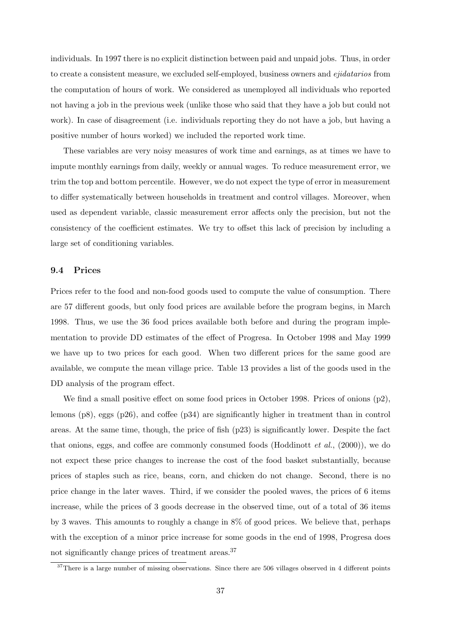individuals. In 1997 there is no explicit distinction between paid and unpaid jobs. Thus, in order to create a consistent measure, we excluded self-employed, business owners and *ejidatarios* from the computation of hours of work. We considered as unemployed all individuals who reported not having a job in the previous week (unlike those who said that they have a job but could not work). In case of disagreement (i.e. individuals reporting they do not have a job, but having a positive number of hours worked) we included the reported work time.

These variables are very noisy measures of work time and earnings, as at times we have to impute monthly earnings from daily, weekly or annual wages. To reduce measurement error, we trim the top and bottom percentile. However, we do not expect the type of error in measurement to differ systematically between households in treatment and control villages. Moreover, when used as dependent variable, classic measurement error affects only the precision, but not the consistency of the coefficient estimates. We try to offset this lack of precision by including a large set of conditioning variables.

#### 9.4 Prices

Prices refer to the food and non-food goods used to compute the value of consumption. There are 57 different goods, but only food prices are available before the program begins, in March 1998. Thus, we use the 36 food prices available both before and during the program implementation to provide DD estimates of the effect of Progresa. In October 1998 and May 1999 we have up to two prices for each good. When two different prices for the same good are available, we compute the mean village price. Table 13 provides a list of the goods used in the DD analysis of the program effect.

We find a small positive effect on some food prices in October 1998. Prices of onions (p2), lemons  $(p8)$ , eggs  $(p26)$ , and coffee  $(p34)$  are significantly higher in treatment than in control areas. At the same time, though, the price of fish (p23) is significantly lower. Despite the fact that onions, eggs, and coffee are commonly consumed foods (Hoddinott *et al.*,  $(2000)$ ), we do not expect these price changes to increase the cost of the food basket substantially, because prices of staples such as rice, beans, corn, and chicken do not change. Second, there is no price change in the later waves. Third, if we consider the pooled waves, the prices of 6 items increase, while the prices of 3 goods decrease in the observed time, out of a total of 36 items by 3 waves. This amounts to roughly a change in 8% of good prices. We believe that, perhaps with the exception of a minor price increase for some goods in the end of 1998, Progresa does not significantly change prices of treatment areas.<sup>37</sup>

<sup>&</sup>lt;sup>37</sup>There is a large number of missing observations. Since there are 506 villages observed in 4 different points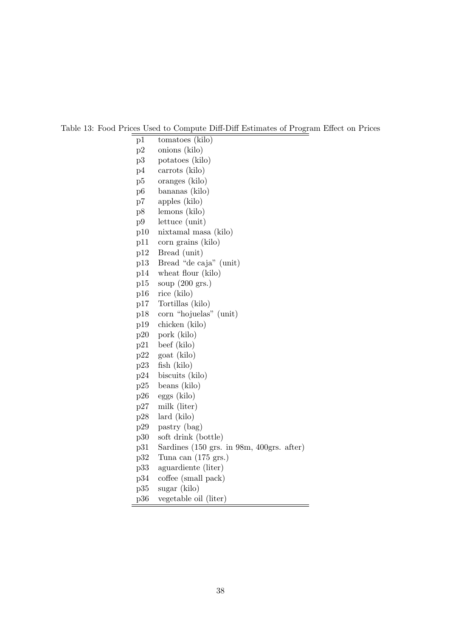#### Table 13: Food Prices Used to Compute Diff-Diff Estimates of Program Effect on Prices

- p1 tomatoes (kilo)
- p2 onions (kilo)
- p3 potatoes (kilo)
- p4 carrots (kilo)
- p5 oranges (kilo)
- p6 bananas (kilo)
- p7 apples (kilo)
- p8 lemons (kilo)
- p9 lettuce (unit)
- p10 nixtamal masa (kilo)
- p11 corn grains (kilo)
- p12 Bread (unit)
- p13 Bread "de caja" (unit)
- p14 wheat flour (kilo)
- p15 soup (200 grs.)
- p16 rice (kilo)
- p17 Tortillas (kilo)
- p18 corn "hojuelas" (unit)
- p19 chicken (kilo)
- p20 pork (kilo)
- p21 beef (kilo)
- p22 goat (kilo)
- p23 fish (kilo)
- p24 biscuits (kilo)
- p25 beans (kilo)
- p26 eggs (kilo)
- p27 milk (liter)
- p28 lard (kilo)
- p29 pastry (bag)
- p30 soft drink (bottle)
- p31 Sardines (150 grs. in 98m, 400grs. after)
- p32 Tuna can (175 grs.)
- p33 aguardiente (liter)
- p34 coffee (small pack)
- p35 sugar (kilo)
- p36 vegetable oil (liter)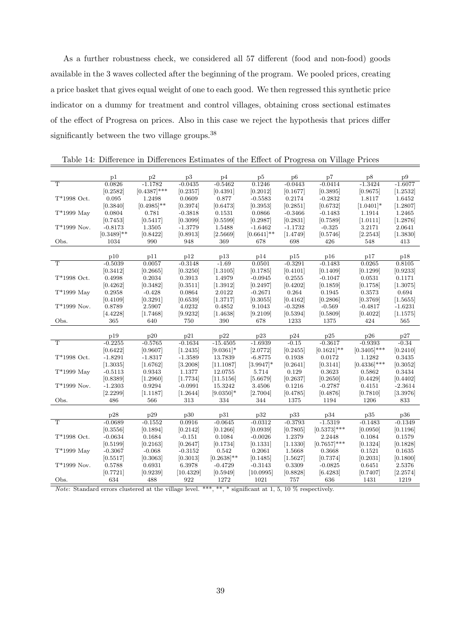As a further robustness check, we considered all 57 different (food and non-food) goods available in the 3 waves collected after the beginning of the program. We pooled prices, creating a price basket that gives equal weight of one to each good. We then regressed this synthetic price indicator on a dummy for treatment and control villages, obtaining cross sectional estimates of the effect of Progresa on prices. Also in this case we reject the hypothesis that prices differ significantly between the two village groups.<sup>38</sup>

|                         | p1            | p2             | p3        | p4            | p5            | p6        | p7             | p8             | p9        |
|-------------------------|---------------|----------------|-----------|---------------|---------------|-----------|----------------|----------------|-----------|
| $\overline{\text{T}}$   | 0.0826        | $-1.1782$      | $-0.0435$ | $-0.5462$     | 0.1246        | $-0.0443$ | $-0.0414$      | $-1.3424$      | $-1.6077$ |
|                         | [0.2582]      | $[0.4387]$ *** | [0.2357]  | [0.4391]      | [0.2012]      | [0.1677]  | [0.3895]       | [0.9675]       | [1.2532]  |
| T*1998 Oct.             | 0.095         | 1.2498         | 0.0609    | 0.877         | $-0.5583$     | 0.2174    | $-0.2832$      | 1.8117         | 1.6452    |
|                         | [0.3840]      | $[0.4985]$ **  | [0.3974]  | [0.6473]      | [0.3953]      | [0.2851]  | [0.6732]       | $[1.0401]$ *   | [1.2807]  |
| $T*1999$ May            | 0.0804        | 0.781          | $-0.3818$ | 0.1531        | 0.0866        | $-0.3466$ | $-0.1483$      | 1.1914         | 1.2465    |
|                         | [0.7453]      | [0.5417]       | [0.3099]  | [0.5599]      | [0.2987]      | [0.2831]  | [0.7589]       | [1.0111]       | [1.2876]  |
| $T*1999$ Nov.           | $-0.8173$     | 1.3505         | $-1.3779$ | 1.5488        | $-1.6462$     | $-1.1732$ | $-0.325$       | 3.2171         | 2.0641    |
|                         | $[0.3489]$ ** | [0.8422]       | [0.8913]  | [2.5669]      | $[0.6641]$ ** | [1.4749]  | [0.5746]       | [2.2543]       | [1.3830]  |
| Obs.                    | 1034          | 990            | 948       | 369           | 678           | 698       | 426            | 548            | 413       |
|                         |               |                |           |               |               |           |                |                |           |
|                         | p10           | p11            | p12       | p13           | p14           | p15       | p16            | p17            | p18       |
| T                       | $-0.5039$     | 0.0057         | $-0.3148$ | $-1.69$       | 0.0501        | $-0.3291$ | $-0.1483$      | 0.0265         | 0.8105    |
|                         | [0.3412]      | [0.2665]       | [0.3250]  | [1.3105]      | [0.1785]      | [0.4101]  | [0.1409]       | [0.1299]       | [0.9233]  |
| $T*1998$ Oct.           | 0.4998        | 0.2034         | 0.3913    | 1.4979        | $-0.0945$     | 0.2555    | $-0.1047$      | 0.0531         | 0.1171    |
|                         | [0.4262]      | [0.3482]       | [0.3511]  | [1.3912]      | [0.2497]      | [0.4202]  | [0.1859]       | [0.1758]       | [1.3075]  |
| $T*1999$ May            | 0.2958        | $-0.428$       | 0.0864    | 2.0122        | $-0.2671$     | 0.264     | 0.1945         | 0.3573         | 0.694     |
|                         | [0.4109]      | [0.3291]       | [0.6539]  | [1.3717]      | [0.3055]      | [0.4162]  | [0.2806]       | [0.3769]       | [1.5655]  |
| $T*1999$ Nov.           | 0.8789        | 2.5907         | 4.0232    | 0.4852        | 9.1043        | $-0.3298$ | $-0.569$       | $-0.4817$      | $-1.6231$ |
|                         | [4.4228]      | [1.7468]       | [9.9232]  | [1.4638]      | [9.2109]      | [0.5394]  | [0.5809]       | [0.4022]       | [1.1575]  |
| Obs.                    | 365           | 640            | 750       | 390           | 678           | 1233      | 1375           | 424            | 565       |
|                         |               |                |           |               |               |           |                |                |           |
|                         | p19           | p20            | p21       | p22           | p23           | p24       | p25            | p26            | p27       |
| T                       | $-0.2255$     | $-0.5765$      | $-0.1634$ | $-15.4505$    | $-1.6939$     | $-0.15$   | $-0.3617$      | $-0.9393$      | $-0.34$   |
|                         | [0.6422]      | [0.9607]       | [1.2435]  | $[9.0361]$ *  | [2.0772]      | [0.2455]  | $[0.1621]$ **  | $[0.3405]$ *** | [0.2410]  |
| T*1998 Oct.             | $-1.8291$     | $-1.8317$      | $-1.3589$ | 13.7839       | $-6.8775$     | 0.1938    | 0.0172         | 1.1282         | 0.3435    |
|                         | [1.3035]      | [1.6762]       | [3.2008]  | [11.1087]     | $[3.9947]$ *  | [0.2641]  | [0.3141]       | $[0.4336]$ *** | [0.3052]  |
| $T*1999$ May            | $-0.5113$     | 0.9343         | 1.1377    | 12.0755       | 5.714         | 0.129     | 0.3623         | 0.5862         | 0.3434    |
|                         | [0.8389]      | [1.2960]       | [1.7734]  | [11.5156]     | [5.6679]      | [0.2637]  | [0.2650]       | [0.4429]       | [0.4402]  |
| $T*1999$ Nov.           | $-1.2303$     | 0.9294         | $-0.0991$ | 15.3242       | 3.4506        | 0.1216    | $-0.2787$      | 0.4151         | $-2.3614$ |
|                         | [2.2299]      | [1.1187]       | [1.2644]  | $[9.0350]$ *  | [2.7004]      | [0.4785]  | [0.4876]       | [0.7810]       | [3.3976]  |
| Obs.                    | 486           | 566            | 313       | 334           | 344           | 1375      | 1194           | 1206           | 833       |
|                         |               |                |           |               |               |           |                |                |           |
|                         | p28           | p29            | p30       | p31           | p32           | p33       | p34            | p35            | p36       |
| $\overline{\mathrm{T}}$ | $-0.0689$     | $-0.1552$      | 0.0916    | $-0.0645$     | $-0.0312$     | $-0.3793$ | $-1.5319$      | $-0.1483$      | $-0.1349$ |
|                         | [0.3556]      | [0.1894]       | [0.2142]  | [0.1266]      | [0.0939]      | [0.7805]  | $[0.5373]$ *** | [0.0950]       | [0.1196]  |
| T*1998 Oct.             | $-0.0634$     | 0.1684         | $-0.151$  | 0.1084        | $-0.0026$     | 1.2379    | 2.2448         | 0.1084         | 0.1579    |
|                         | [0.5199]      | [0.2163]       | [0.2647]  | [0.1734]      | [0.1331]      | [1.1330]  | $[0.7657]$ *** | [0.1324]       | [0.1828]  |
| $T*1999$ May            | $-0.3067$     | $-0.068$       | $-0.3152$ | 0.542         | 0.2061        | 1.5668    | 0.3668         | 0.1521         | 0.1635    |
|                         | [0.5517]      | [0.3063]       | [0.3013]  | $[0.2638]$ ** | [0.1485]      | [1.5627]  | [0.7374]       | [0.2031]       | [0.1800]  |
| $T*1999$ Nov.           | 0.5788        | 0.6931         | 6.3978    | $-0.4729$     | $-0.3143$     | 0.3309    | $-0.0825$      | 0.6451         | 2.5376    |
|                         | [0.7721]      | [0.9239]       | [10.4329] | [0.5949]      | [10.0995]     | [0.8828]  | [6.4283]       | [0.7407]       | [2.2574]  |
| Obs.                    | 634           | 488            | 922       | 1272          | 1021          | 757       | 636            | 1431           | 1219      |
|                         |               |                |           |               |               |           |                |                |           |

| Table 14: Difference in Differences Estimates of the Effect of Progress on Village Prices |  |  |  |  |  |  |
|-------------------------------------------------------------------------------------------|--|--|--|--|--|--|
|-------------------------------------------------------------------------------------------|--|--|--|--|--|--|

*Note:* Standard errors clustered at the village level. \*\*\*, \*\*, \* significant at 1, 5, 10 % respectively.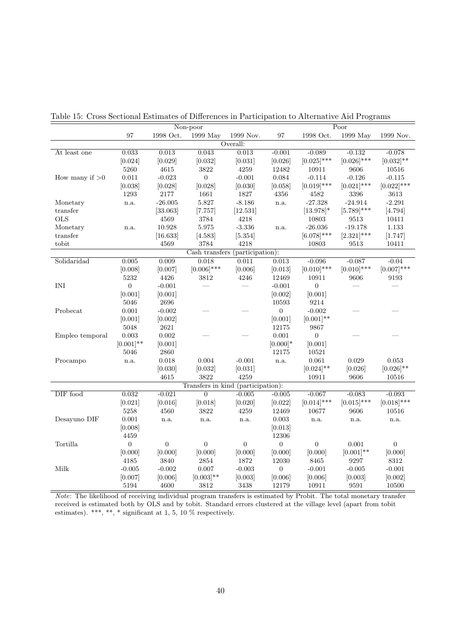|                             |                  |                  | Non-poor                           |                  |                  |                  | Poor          |                  |
|-----------------------------|------------------|------------------|------------------------------------|------------------|------------------|------------------|---------------|------------------|
|                             | 97               | 1998 Oct.        | 1999 May                           | 1999 Nov.        | 97               | 1998 Oct.        | 1999 May      | 1999 Nov.        |
|                             |                  |                  |                                    | Overall:         |                  |                  |               |                  |
| At least one                | 0.033            | 0.013            | 0.043                              | 0.013            | $-0.001$         | $-0.089$         | $-0.132$      | $-0.078$         |
|                             | [0.024]          | [0.029]          | [0.032]                            | [0.031]          | [0.026]          | $[0.025]$ ***    | $[0.026]$ *** | $[0.032]$ **     |
|                             | 5260             | $4615\,$         | 3822                               | 4259             | 12482            | 10911            | 9606          | 10516            |
| How many if $>0$            | 0.011            | $-0.023$         | $\overline{0}$                     | $-0.001$         | 0.084            | $-0.114$         | $-0.126$      | $-0.115$         |
|                             | [0.038]          | [0.028]          | [0.028]                            | [0.030]          | [0.058]          | $[0.019]$ ***    | $[0.021]$ *** | $[0.022]$ ***    |
|                             | 1293             | 2177             | 1661                               | 1827             | 4356             | 4582             | 3396          | $3613\,$         |
| Monetary                    | n.a.             | $-26.005$        | 5.827                              | $-8.186$         | n.a.             | $-27.328$        | $-24.914$     | $-2.291$         |
| transfer                    |                  | [33.063]         | [7.757]                            | [12.531]         |                  | $[13.978]$ *     | $[5.789]$ *** | [4.794]          |
| <b>OLS</b>                  |                  | 4569             | 3784                               | 4218             |                  | 10803            | 9513          | 10411            |
| Monetary                    | n.a.             | 10.928           | 5.975                              | $-3.336$         | n.a.             | $-26.036$        | $-19.178$     | $1.133\,$        |
| transfer                    |                  | [16.633]         | [4.583]                            | [5.354]          |                  | $[6.078]$ ***    | $[2.321]$ *** | [1.747]          |
| tobit                       |                  | 4569             | 3784                               | 4218             |                  | 10803            | 9513          | 10411            |
|                             |                  |                  | Cash transfers (participation):    |                  |                  |                  |               |                  |
| Solidaridad                 | 0.005            | 0.009            | 0.018                              | 0.011            | 0.013            | $-0.096$         | $-0.087$      | $-0.04$          |
|                             | [0.008]          | [0.007]          | $[0.006]$ ***                      | [0.006]          | [0.013]          | $[0.010]$ ***    | $[0.010]$ *** | $[0.007]$ ***    |
|                             | $5232\,$         | 4426             | 3812                               | 4246             | 12469            | 10911            | 9606          | 9193             |
| $\mathop{\rm INl}\nolimits$ | $\boldsymbol{0}$ | $-0.001$         |                                    |                  | $-0.001$         | $\boldsymbol{0}$ |               |                  |
|                             | [0.001]          | [0.001]          |                                    |                  | [0.002]          | [0.001]          |               |                  |
|                             | 5046             | 2696             |                                    |                  | 10593            | 9214             |               |                  |
| Probecat                    | 0.001            | $-0.002$         |                                    |                  | $\boldsymbol{0}$ | $-0.002$         |               |                  |
|                             | [0.001]          | [0.002]          |                                    |                  | [0.001]          | $[0.001]$ **     |               |                  |
|                             | 5048             | 2621             |                                    |                  | 12175            | 9867             |               |                  |
| Empleo temporal             | 0.003            | 0.002            |                                    |                  | 0.001            | $\boldsymbol{0}$ |               |                  |
|                             | $[0.001]$ **     | [0.001]          |                                    |                  | $[0.000]*$       | [0.001]          |               |                  |
|                             | 5046             | 2860             |                                    |                  | 12175            | 10521            |               |                  |
| Procampo                    | n.a.             | 0.018            | 0.004                              | $-0.001$         | n.a.             | 0.061            | 0.029         | 0.053            |
|                             |                  | [0.030]          | [0.032]                            | [0.031]          |                  | $[0.024]$ **     | [0.026]       | $[0.026]^{**}$   |
|                             |                  | 4615             | 3822                               | 4259             |                  | 10911            | 9606          | $10516\,$        |
|                             |                  |                  | Transfers in kind (participation): |                  |                  |                  |               |                  |
| DIF food                    | 0.032            | $-0.021$         | $\overline{0}$                     | $-0.005$         | $-0.005$         | $-0.067$         | $-0.083$      | $-0.093$         |
|                             | [0.021]          | [0.016]          | [0.018]                            | [0.020]          | [0.022]          | $[0.014]$ ***    | $[0.015]$ *** | $[0.018]$ ***    |
|                             | 5258             | 4560             | 3822                               | 4259             | 12469            | 10677            | 9606          | 10516            |
| Desayuno DIF                | 0.001            | n.a.             | n.a.                               | n.a.             | 0.003            | n.a.             | n.a.          | n.a.             |
|                             | [0.008]          |                  |                                    |                  | [0.013]          |                  |               |                  |
|                             | 4459             |                  |                                    |                  | 12306            |                  |               |                  |
| Tortilla                    | 0                | $\boldsymbol{0}$ | $\overline{0}$                     | $\boldsymbol{0}$ | $\overline{0}$   | $\boldsymbol{0}$ | 0.001         | $\boldsymbol{0}$ |
|                             | [0.000]          | [0.000]          | [0.000]                            | [0.000]          | [0.000]          | [0.000]          | $[0.001]$ **  | [0.000]          |
|                             | 4185             | 3840             | 2854                               | 1872             | 12030            | 8465             | 9297          | 8312             |
| Milk                        | $-0.005$         | $-0.002$         | 0.007                              | $-0.003$         | $\boldsymbol{0}$ | $-0.001$         | $-0.005$      | $-0.001$         |
|                             | [0.007]          | [0.006]          | $[0.003]$ **                       | [0.003]          | [0.006]          | [0.006]          | [0.003]       | [0.002]          |
|                             | $5194\,$         | 4600             | 3812                               | 3438             | 12179            | 10911            | 9591          | 10500            |

Table 15: Cross Sectional Estimates of Differences in Participation to Alternative Aid Programs

Note: The likelihood of receiving individual program transfers is estimated by Probit. The total monetary transfer received is estimated both by OLS and by tobit. Standard errors clustered at the village level (apart from tobit estimates). \*\*\*, \*\*, \* significant at 1, 5, 10 % respectively.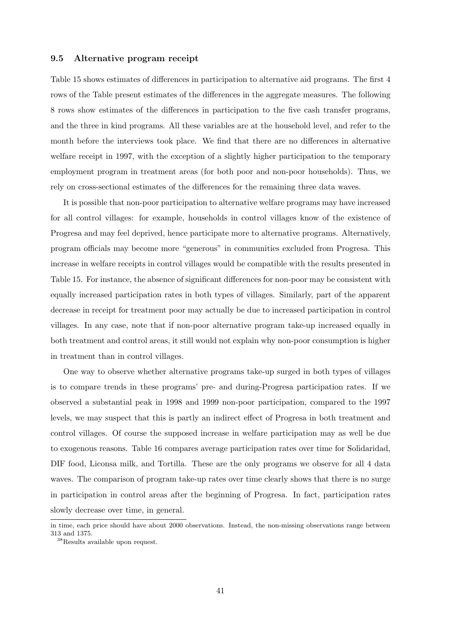#### 9.5 Alternative program receipt

Table 15 shows estimates of differences in participation to alternative aid programs. The first 4 rows of the Table present estimates of the differences in the aggregate measures. The following 8 rows show estimates of the differences in participation to the five cash transfer programs, and the three in kind programs. All these variables are at the household level, and refer to the month before the interviews took place. We find that there are no differences in alternative welfare receipt in 1997, with the exception of a slightly higher participation to the temporary employment program in treatment areas (for both poor and non-poor households). Thus, we rely on cross-sectional estimates of the differences for the remaining three data waves.

It is possible that non-poor participation to alternative welfare programs may have increased for all control villages: for example, households in control villages know of the existence of Progresa and may feel deprived, hence participate more to alternative programs. Alternatively, program officials may become more "generous" in communities excluded from Progresa. This increase in welfare receipts in control villages would be compatible with the results presented in Table 15. For instance, the absence of significant differences for non-poor may be consistent with equally increased participation rates in both types of villages. Similarly, part of the apparent decrease in receipt for treatment poor may actually be due to increased participation in control villages. In any case, note that if non-poor alternative program take-up increased equally in both treatment and control areas, it still would not explain why non-poor consumption is higher in treatment than in control villages.

One way to observe whether alternative programs take-up surged in both types of villages is to compare trends in these programs' pre- and during-Progresa participation rates. If we observed a substantial peak in 1998 and 1999 non-poor participation, compared to the 1997 levels, we may suspect that this is partly an indirect effect of Progresa in both treatment and control villages. Of course the supposed increase in welfare participation may as well be due to exogenous reasons. Table 16 compares average participation rates over time for Solidaridad, DIF food, Liconsa milk, and Tortilla. These are the only programs we observe for all 4 data waves. The comparison of program take-up rates over time clearly shows that there is no surge in participation in control areas after the beginning of Progresa. In fact, participation rates slowly decrease over time, in general.

in time, each price should have about 2000 observations. Instead, the non-missing observations range between 313 and 1375.

<sup>38</sup>Results available upon request.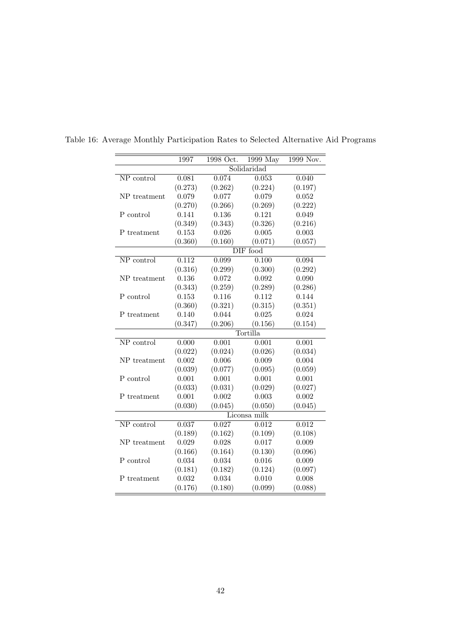| Solidaridad<br>NP control<br>0.081<br>0.074<br>0.053<br>0.040<br>(0.273)<br>(0.224)<br>(0.197)<br>(0.262)<br>0.079<br>NP treatment<br>0.077<br>0.079<br>0.052<br>(0.270)<br>(0.266)<br>(0.269)<br>(0.222)<br>P control<br>0.141<br>0.136<br>0.121<br>0.049 |
|------------------------------------------------------------------------------------------------------------------------------------------------------------------------------------------------------------------------------------------------------------|
|                                                                                                                                                                                                                                                            |
|                                                                                                                                                                                                                                                            |
|                                                                                                                                                                                                                                                            |
|                                                                                                                                                                                                                                                            |
|                                                                                                                                                                                                                                                            |
|                                                                                                                                                                                                                                                            |
| (0.326)<br>(0.349)<br>(0.343)<br>(0.216)                                                                                                                                                                                                                   |
| 0.153<br>0.026<br>0.005<br>P treatment<br>0.003                                                                                                                                                                                                            |
| (0.360)<br>(0.160)<br>(0.071)<br>(0.057)                                                                                                                                                                                                                   |
| DIF food                                                                                                                                                                                                                                                   |
| 0.099<br>NP control<br>0.112<br>0.100<br>0.094                                                                                                                                                                                                             |
| (0.316)<br>(0.300)<br>(0.299)<br>(0.292)                                                                                                                                                                                                                   |
| 0.136<br>0.072<br>0.092<br>0.090<br>NP treatment                                                                                                                                                                                                           |
| (0.343)<br>(0.289)<br>(0.259)<br>(0.286)                                                                                                                                                                                                                   |
| P control<br>0.153<br>0.116<br>0.112<br>0.144                                                                                                                                                                                                              |
| (0.360)<br>(0.321)<br>(0.315)<br>(0.351)                                                                                                                                                                                                                   |
| 0.044<br>0.140<br>0.025<br>0.024<br>P treatment                                                                                                                                                                                                            |
| (0.347)<br>(0.206)<br>(0.156)<br>(0.154)                                                                                                                                                                                                                   |
| Tortilla                                                                                                                                                                                                                                                   |
| NP control<br>0.000<br>0.001<br>0.001<br>0.001                                                                                                                                                                                                             |
| (0.022)<br>(0.026)<br>(0.034)<br>(0.024)                                                                                                                                                                                                                   |
| 0.002<br>0.006<br>0.009<br>0.004<br>NP treatment                                                                                                                                                                                                           |
| (0.039)<br>(0.077)<br>(0.095)<br>(0.059)                                                                                                                                                                                                                   |
| 0.001<br>0.001<br>0.001<br>0.001<br>P control                                                                                                                                                                                                              |
| (0.033)<br>(0.031)<br>(0.029)<br>(0.027)                                                                                                                                                                                                                   |
| 0.001<br>0.002<br>0.003<br>0.002<br>P treatment                                                                                                                                                                                                            |
| (0.030)<br>(0.045)<br>(0.050)<br>(0.045)                                                                                                                                                                                                                   |
| Liconsa milk                                                                                                                                                                                                                                               |
| NP control<br>0.037<br>0.027<br>0.012<br>0.012                                                                                                                                                                                                             |
| (0.189)<br>(0.162)<br>(0.109)<br>(0.108)                                                                                                                                                                                                                   |
| 0.009<br>0.029<br>0.028<br>0.017<br>NP treatment                                                                                                                                                                                                           |
| (0.166)<br>(0.164)<br>(0.130)<br>(0.096)                                                                                                                                                                                                                   |
| 0.034<br>0.034<br>0.016<br>0.009<br>P control                                                                                                                                                                                                              |
| (0.181)<br>(0.182)<br>(0.124)<br>(0.097)                                                                                                                                                                                                                   |
| 0.032<br>0.010<br>0.008<br>0.034<br>P treatment                                                                                                                                                                                                            |
| (0.176)<br>(0.180)<br>(0.099)<br>(0.088)                                                                                                                                                                                                                   |

Table 16: Average Monthly Participation Rates to Selected Alternative Aid Programs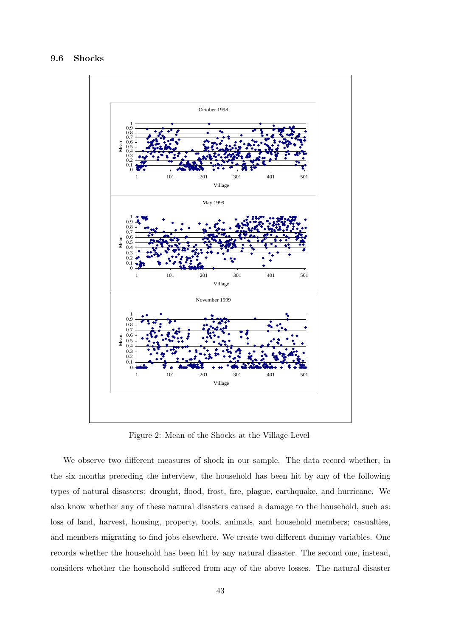#### 9.6 Shocks



Figure 2: Mean of the Shocks at the Village Level

We observe two different measures of shock in our sample. The data record whether, in the six months preceding the interview, the household has been hit by any of the following types of natural disasters: drought, flood, frost, fire, plague, earthquake, and hurricane. We also know whether any of these natural disasters caused a damage to the household, such as: loss of land, harvest, housing, property, tools, animals, and household members; casualties, and members migrating to find jobs elsewhere. We create two different dummy variables. One records whether the household has been hit by any natural disaster. The second one, instead, considers whether the household suffered from any of the above losses. The natural disaster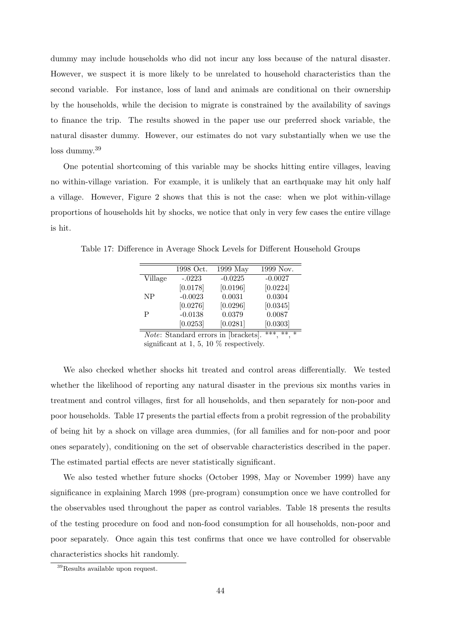dummy may include households who did not incur any loss because of the natural disaster. However, we suspect it is more likely to be unrelated to household characteristics than the second variable. For instance, loss of land and animals are conditional on their ownership by the households, while the decision to migrate is constrained by the availability of savings to finance the trip. The results showed in the paper use our preferred shock variable, the natural disaster dummy. However, our estimates do not vary substantially when we use the loss dummy.<sup>39</sup>

One potential shortcoming of this variable may be shocks hitting entire villages, leaving no within-village variation. For example, it is unlikely that an earthquake may hit only half a village. However, Figure 2 shows that this is not the case: when we plot within-village proportions of households hit by shocks, we notice that only in very few cases the entire village is hit.

Table 17: Difference in Average Shock Levels for Different Household Groups

|           | 1998 Oct. | 1999 May  | 1999 Nov.            |
|-----------|-----------|-----------|----------------------|
| Village   | $-.0223$  | $-0.0225$ | $-0.0027$            |
|           | [0.0178]  | [0.0196]  | [0.0224]             |
| <b>NP</b> | $-0.0023$ | 0.0031    | 0.0304               |
|           | [0.0276]  | [0.0296]  | [0.0345]             |
| P         | $-0.0138$ | 0.0379    | 0.0087               |
|           | [0.0253]  | [0.0281]  | [0.0303]             |
|           |           | . .       | . .<br>.<br>.<br>. . |

 $\overline{\textit{Note: Standard errors in [brackets].***, **, *}}$ 

significant at 1, 5, 10  $\%$  respectively.

We also checked whether shocks hit treated and control areas differentially. We tested whether the likelihood of reporting any natural disaster in the previous six months varies in treatment and control villages, first for all households, and then separately for non-poor and poor households. Table 17 presents the partial effects from a probit regression of the probability of being hit by a shock on village area dummies, (for all families and for non-poor and poor ones separately), conditioning on the set of observable characteristics described in the paper. The estimated partial effects are never statistically significant.

We also tested whether future shocks (October 1998, May or November 1999) have any significance in explaining March 1998 (pre-program) consumption once we have controlled for the observables used throughout the paper as control variables. Table 18 presents the results of the testing procedure on food and non-food consumption for all households, non-poor and poor separately. Once again this test confirms that once we have controlled for observable characteristics shocks hit randomly.

<sup>&</sup>lt;sup>39</sup>Results available upon request.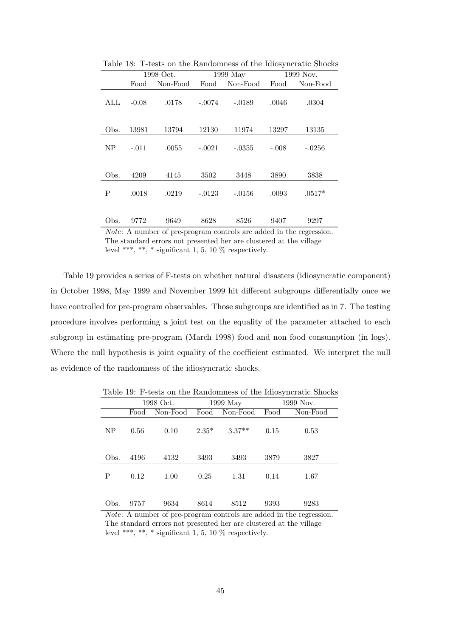|      |         | 1998 Oct. |          | 1999 May |         | 1999 Nov. |  |
|------|---------|-----------|----------|----------|---------|-----------|--|
|      | Food    | Non-Food  | Food     | Non-Food | Food    | Non-Food  |  |
| ALL  | $-0.08$ | .0178     | $-.0074$ | $-.0189$ | .0046   | .0304     |  |
| Obs. | 13981   | 13794     | 12130    | 11974    | 13297   | 13135     |  |
| NP   | $-.011$ | .0055     | $-.0021$ | $-.0355$ | $-.008$ | $-.0256$  |  |
| Obs. | 4209    | 4145      | 3502     | 3448     | 3890    | 3838      |  |
| P    | .0018   | .0219     | $-.0123$ | $-.0156$ | .0093   | $.0517*$  |  |
| Obs. | 9772    | 9649      | 8628     | 8526     | 9407    | 9297      |  |

Table 18: T-tests on the Randomness of the Idiosyncratic Shocks

Note: A number of pre-program controls are added in the regression. The standard errors not presented her are clustered at the village level \*\*\*, \*\*, \* significant 1, 5, 10  $\%$  respectively.

Table 19 provides a series of F-tests on whether natural disasters (idiosyncratic component) in October 1998, May 1999 and November 1999 hit different subgroups differentially once we have controlled for pre-program observables. Those subgroups are identified as in 7. The testing procedure involves performing a joint test on the equality of the parameter attached to each subgroup in estimating pre-program (March 1998) food and non food consumption (in logs). Where the null hypothesis is joint equality of the coefficient estimated. We interpret the null as evidence of the randomness of the idiosyncratic shocks.

|      |      |           |         |            |      | $\frac{1}{2}$ |
|------|------|-----------|---------|------------|------|---------------|
|      |      | 1998 Oct. |         | $1999$ May |      | 1999 Nov.     |
|      | Food | Non-Food  | Food    | Non-Food   | Food | Non-Food      |
| NP   | 0.56 | 0.10      | $2.35*$ | $3.37**$   | 0.15 | 0.53          |
| Obs. | 4196 | 4132      | 3493    | 3493       | 3879 | 3827          |
| P    | 0.12 | 1.00      | 0.25    | 1.31       | 0.14 | 1.67          |
| Obs. | 9757 | 9634      | 8614    | 8512       | 9393 | 9283          |

Table 19: F-tests on the Randomness of the Idiosyncratic Shocks

Note: A number of pre-program controls are added in the regression. The standard errors not presented her are clustered at the village level \*\*\*, \*\*, \* significant 1, 5, 10  $\%$  respectively.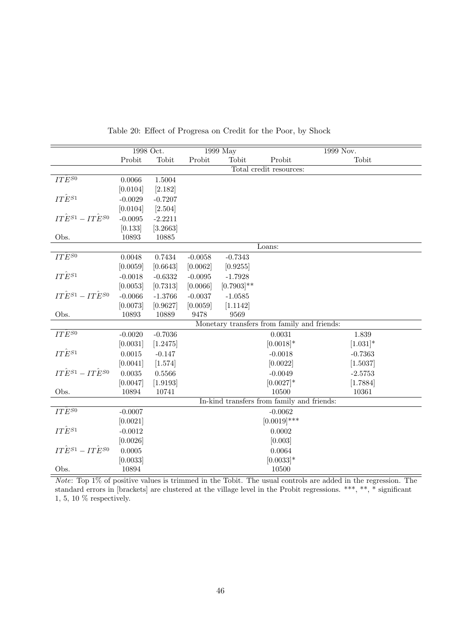|                                   |           | 1998 Oct. |           | 1999 May      |                                             | 1999 Nov.   |  |
|-----------------------------------|-----------|-----------|-----------|---------------|---------------------------------------------|-------------|--|
|                                   | Probit    | Tobit     | Probit    | Tobit         | Probit                                      | Tobit       |  |
|                                   |           |           |           |               | Total credit resources:                     |             |  |
| $IT\widetilde{E}^{S0}$            | 0.0066    | 1.5004    |           |               |                                             |             |  |
|                                   | [0.0104]  | [2.182]   |           |               |                                             |             |  |
| $IT\hat{E}^{S1}$                  | $-0.0029$ | $-0.7207$ |           |               |                                             |             |  |
|                                   | [0.0104]  | [2.504]   |           |               |                                             |             |  |
| $IT\hat{E}^{S1}-IT\hat{E}^{S0}$   | $-0.0095$ | $-2.2211$ |           |               |                                             |             |  |
|                                   | [0.133]   | [3.2663]  |           |               |                                             |             |  |
| Obs.                              | 10893     | 10885     |           |               |                                             |             |  |
|                                   |           |           |           |               | Loans:                                      |             |  |
| $IT\hat{E}^{S0}$                  | 0.0048    | 0.7434    | $-0.0058$ | $-0.7343$     |                                             |             |  |
|                                   | [0.0059]  | [0.6643]  | [0.0062]  | [0.9255]      |                                             |             |  |
| $IT\hat{E}^{S1}$                  | $-0.0018$ | $-0.6332$ | $-0.0095$ | $-1.7928$     |                                             |             |  |
|                                   | [0.0053]  | [0.7313]  | [0.0066]  | $[0.7903]$ ** |                                             |             |  |
| $IT\hat{E}^{S1} - IT\hat{E}^{S0}$ | $-0.0066$ | $-1.3766$ | $-0.0037$ | $-1.0585$     |                                             |             |  |
|                                   | [0.0073]  | [0.9627]  | [0.0059]  | [1.1142]      |                                             |             |  |
| Obs.                              | 10893     | 10889     | 9478      | 9569          |                                             |             |  |
|                                   |           |           |           |               | Monetary transfers from family and friends: |             |  |
| $IT\hat{E}^{S0}$                  | $-0.0020$ | $-0.7036$ |           |               | 0.0031                                      | 1.839       |  |
|                                   | [0.0031]  | [1.2475]  |           |               | $[0.0018]*$                                 | $[1.031]$ * |  |
| $IT\hat{E}^{S1}$                  | 0.0015    | $-0.147$  |           |               | $-0.0018$                                   | $-0.7363$   |  |
|                                   | [0.0041]  | [1.574]   |           |               | [0.0022]                                    | [1.5037]    |  |
| $IT\hat{E}^{S1}-IT\hat{E}^{S0}$   | 0.0035    | 0.5566    |           |               | $-0.0049$                                   | $-2.5753$   |  |
|                                   | [0.0047]  | [1.9193]  |           |               | $[0.0027]$ *                                | [1.7884]    |  |
| Obs.                              | 10894     | 10741     |           |               | 10500                                       | 10361       |  |
|                                   |           |           |           |               | In-kind transfers from family and friends:  |             |  |
| $IT\hat{E}^{S0}$                  | $-0.0007$ |           |           |               | $-0.0062$                                   |             |  |
|                                   | [0.0021]  |           |           |               | $[0.0019]$ ***                              |             |  |
| $IT\hat{E}^{S1}$                  | $-0.0012$ |           |           |               | 0.0002                                      |             |  |
|                                   | [0.0026]  |           |           |               | [0.003]                                     |             |  |
| $IT\hat{E}^{S1} - IT\hat{E}^{S0}$ | 0.0005    |           |           |               | 0.0064                                      |             |  |
|                                   | [0.0033]  |           |           |               | $[0.0033]*$                                 |             |  |
| Obs.                              | 10894     |           |           |               | 10500                                       |             |  |

Table 20: Effect of Progresa on Credit for the Poor, by Shock

Note: Top 1% of positive values is trimmed in the Tobit. The usual controls are added in the regression. The standard errors in [brackets] are clustered at the village level in the Probit regressions. \*\*\*, \*\*, \* significant 1, 5, 10 % respectively.